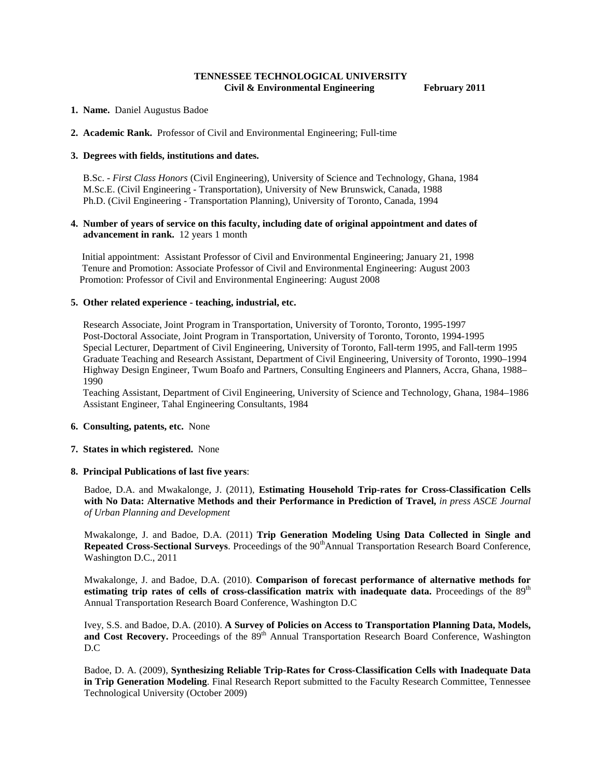## **TENNESSEE TECHNOLOGICAL UNIVERSITY Civil & Environmental Engineering February 2011**

- **1. Name.** Daniel Augustus Badoe
- **2. Academic Rank.** Professor of Civil and Environmental Engineering; Full-time

### **3. Degrees with fields, institutions and dates.**

 B.Sc. - *First Class Honors* (Civil Engineering), University of Science and Technology, Ghana, 1984 M.Sc.E. (Civil Engineering - Transportation), University of New Brunswick, Canada, 1988 Ph.D. (Civil Engineering - Transportation Planning), University of Toronto, Canada, 1994

### **4. Number of years of service on this faculty, including date of original appointment and dates of advancement in rank.** 12 years 1 month

Initial appointment: Assistant Professor of Civil and Environmental Engineering; January 21, 1998 Tenure and Promotion: Associate Professor of Civil and Environmental Engineering: August 2003 Promotion: Professor of Civil and Environmental Engineering: August 2008

#### **5. Other related experience - teaching, industrial, etc.**

 Research Associate, Joint Program in Transportation, University of Toronto, Toronto, 1995-1997 Post-Doctoral Associate, Joint Program in Transportation, University of Toronto, Toronto, 1994-1995 Special Lecturer, Department of Civil Engineering, University of Toronto, Fall-term 1995, and Fall-term 1995 Graduate Teaching and Research Assistant, Department of Civil Engineering, University of Toronto, 1990–1994 Highway Design Engineer, Twum Boafo and Partners, Consulting Engineers and Planners, Accra, Ghana, 1988– 1990

 Teaching Assistant, Department of Civil Engineering, University of Science and Technology, Ghana, 1984–1986 Assistant Engineer, Tahal Engineering Consultants, 1984

#### **6. Consulting, patents, etc.** None

#### **7. States in which registered.** None

#### **8. Principal Publications of last five years**:

Badoe, D.A. and Mwakalonge, J. (2011), **Estimating Household Trip-rates for Cross-Classification Cells with No Data: Alternative Methods and their Performance in Prediction of Travel,** *in press ASCE Journal of Urban Planning and Development*

Mwakalonge, J. and Badoe, D.A. (2011) **Trip Generation Modeling Using Data Collected in Single and**  Repeated Cross-Sectional Surveys. Proceedings of the 90<sup>th</sup>Annual Transportation Research Board Conference, Washington D.C., 2011

Mwakalonge, J. and Badoe, D.A. (2010). **Comparison of forecast performance of alternative methods for estimating trip rates of cells of cross-classification matrix with inadequate data.** Proceedings of the 89<sup>th</sup> Annual Transportation Research Board Conference, Washington D.C

Ivey, S.S. and Badoe, D.A. (2010). **A Survey of Policies on Access to Transportation Planning Data, Models,**  and Cost Recovery. Proceedings of the 89<sup>th</sup> Annual Transportation Research Board Conference, Washington D.C

Badoe, D. A. (2009), **Synthesizing Reliable Trip-Rates for Cross-Classification Cells with Inadequate Data in Trip Generation Modeling**. Final Research Report submitted to the Faculty Research Committee, Tennessee Technological University (October 2009)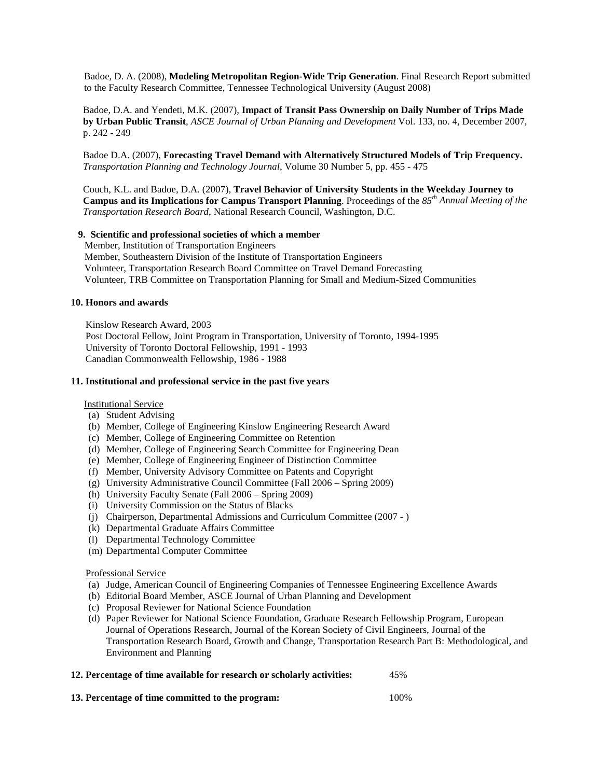Badoe, D. A. (2008), **Modeling Metropolitan Region-Wide Trip Generation**. Final Research Report submitted to the Faculty Research Committee, Tennessee Technological University (August 2008)

 Badoe, D.A. and Yendeti, M.K. (2007), **Impact of Transit Pass Ownership on Daily Number of Trips Made by Urban Public Transit**, *ASCE Journal of Urban Planning and Development* Vol. 133, no. 4, December 2007, p. 242 - 249

 Badoe D.A. (2007), **Forecasting Travel Demand with Alternatively Structured Models of Trip Frequency.** *Transportation Planning and Technology Journal*, Volume 30 Number 5, pp. 455 - 475

 Couch, K.L. and Badoe, D.A. (2007), **Travel Behavior of University Students in the Weekday Journey to Campus and its Implications for Campus Transport Planning**. Proceedings of the *85th A*n*nual Meeting of the Transportation Research Board*, National Research Council, Washington, D.C.

## **9. Scientific and professional societies of which a member**

 Member, Institution of Transportation Engineers Member, Southeastern Division of the Institute of Transportation Engineers Volunteer, Transportation Research Board Committee on Travel Demand Forecasting Volunteer, TRB Committee on Transportation Planning for Small and Medium-Sized Communities

### **10. Honors and awards**

 Kinslow Research Award, 2003 Post Doctoral Fellow, Joint Program in Transportation, University of Toronto, 1994-1995 University of Toronto Doctoral Fellowship, 1991 - 1993 Canadian Commonwealth Fellowship, 1986 - 1988

### **11. Institutional and professional service in the past five years**

### Institutional Service

- (a) Student Advising
- (b) Member, College of Engineering Kinslow Engineering Research Award
- (c) Member, College of Engineering Committee on Retention
- (d) Member, College of Engineering Search Committee for Engineering Dean
- (e) Member, College of Engineering Engineer of Distinction Committee
- (f) Member, University Advisory Committee on Patents and Copyright
- (g) University Administrative Council Committee (Fall 2006 Spring 2009)
- (h) University Faculty Senate (Fall 2006 Spring 2009)
- (i) University Commission on the Status of Blacks
- (j) Chairperson, Departmental Admissions and Curriculum Committee (2007 )
- (k) Departmental Graduate Affairs Committee
- (l) Departmental Technology Committee
- (m) Departmental Computer Committee

### Professional Service

- (a) Judge, American Council of Engineering Companies of Tennessee Engineering Excellence Awards
- (b) Editorial Board Member, ASCE Journal of Urban Planning and Development
- (c) Proposal Reviewer for National Science Foundation
- (d) Paper Reviewer for National Science Foundation, Graduate Research Fellowship Program, European Journal of Operations Research, Journal of the Korean Society of Civil Engineers, Journal of the Transportation Research Board, Growth and Change, Transportation Research Part B: Methodological, and Environment and Planning

| 12. Percentage of time available for research or scholarly activities: | 45% |
|------------------------------------------------------------------------|-----|
|                                                                        |     |

**13. Percentage of time committed to the program:** 100%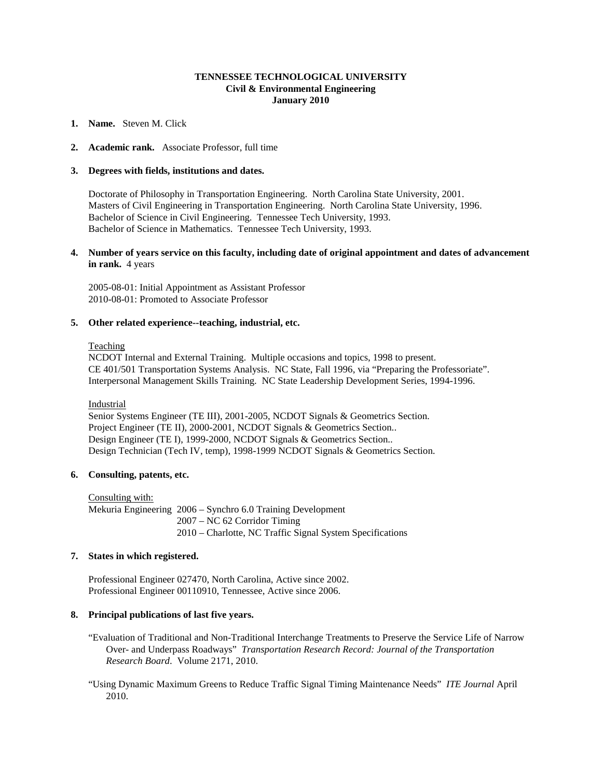## **TENNESSEE TECHNOLOGICAL UNIVERSITY Civil & Environmental Engineering January 2010**

### **1. Name.** Steven M. Click

### **2. Academic rank.** Associate Professor, full time

#### **3. Degrees with fields, institutions and dates.**

Doctorate of Philosophy in Transportation Engineering. North Carolina State University, 2001. Masters of Civil Engineering in Transportation Engineering. North Carolina State University, 1996. Bachelor of Science in Civil Engineering. Tennessee Tech University, 1993. Bachelor of Science in Mathematics. Tennessee Tech University, 1993.

### **4. Number of years service on this faculty, including date of original appointment and dates of advancement in rank.** 4 years

2005-08-01: Initial Appointment as Assistant Professor 2010-08-01: Promoted to Associate Professor

### **5. Other related experience--teaching, industrial, etc.**

### Teaching

NCDOT Internal and External Training. Multiple occasions and topics, 1998 to present. CE 401/501 Transportation Systems Analysis. NC State, Fall 1996, via "Preparing the Professoriate". Interpersonal Management Skills Training. NC State Leadership Development Series, 1994-1996.

Industrial

Senior Systems Engineer (TE III), 2001-2005, NCDOT Signals & Geometrics Section. Project Engineer (TE II), 2000-2001, NCDOT Signals & Geometrics Section.. Design Engineer (TE I), 1999-2000, NCDOT Signals & Geometrics Section.. Design Technician (Tech IV, temp), 1998-1999 NCDOT Signals & Geometrics Section.

### **6. Consulting, patents, etc.**

Consulting with: Mekuria Engineering 2006 – Synchro 6.0 Training Development 2007 – NC 62 Corridor Timing 2010 – Charlotte, NC Traffic Signal System Specifications

## **7. States in which registered.**

Professional Engineer 027470, North Carolina, Active since 2002. Professional Engineer 00110910, Tennessee, Active since 2006.

## **8. Principal publications of last five years.**

- "Evaluation of Traditional and Non-Traditional Interchange Treatments to Preserve the Service Life of Narrow Over- and Underpass Roadways" *Transportation Research Record: Journal of the Transportation Research Board*. Volume 2171, 2010.
- "Using Dynamic Maximum Greens to Reduce Traffic Signal Timing Maintenance Needs" *ITE Journal* April 2010.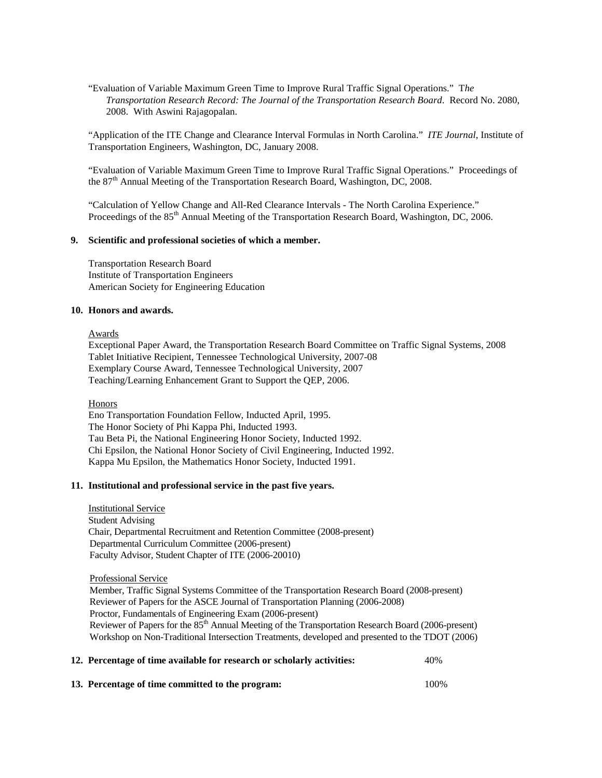"Evaluation of Variable Maximum Green Time to Improve Rural Traffic Signal Operations." T*he Transportation Research Record: The Journal of the Transportation Research Board*. Record No. 2080, 2008. With Aswini Rajagopalan.

"Application of the ITE Change and Clearance Interval Formulas in North Carolina." *ITE Journal*, Institute of Transportation Engineers, Washington, DC, January 2008.

"Evaluation of Variable Maximum Green Time to Improve Rural Traffic Signal Operations." Proceedings of the 87<sup>th</sup> Annual Meeting of the Transportation Research Board, Washington, DC, 2008.

"Calculation of Yellow Change and All-Red Clearance Intervals - The North Carolina Experience." Proceedings of the 85<sup>th</sup> Annual Meeting of the Transportation Research Board, Washington, DC, 2006.

## **9. Scientific and professional societies of which a member.**

Transportation Research Board Institute of Transportation Engineers American Society for Engineering Education

### **10. Honors and awards.**

#### Awards

Exceptional Paper Award, the Transportation Research Board Committee on Traffic Signal Systems, 2008 Tablet Initiative Recipient, Tennessee Technological University, 2007-08 Exemplary Course Award, Tennessee Technological University, 2007 Teaching/Learning Enhancement Grant to Support the QEP, 2006.

#### Honors

Eno Transportation Foundation Fellow, Inducted April, 1995. The Honor Society of Phi Kappa Phi, Inducted 1993. Tau Beta Pi, the National Engineering Honor Society, Inducted 1992. Chi Epsilon, the National Honor Society of Civil Engineering, Inducted 1992. Kappa Mu Epsilon, the Mathematics Honor Society, Inducted 1991.

## **11. Institutional and professional service in the past five years.**

Institutional Service Student Advising Chair, Departmental Recruitment and Retention Committee (2008-present) Departmental Curriculum Committee (2006-present) Faculty Advisor, Student Chapter of ITE (2006-20010)

### Professional Service

 Member, Traffic Signal Systems Committee of the Transportation Research Board (2008-present) Reviewer of Papers for the ASCE Journal of Transportation Planning (2006-2008) Proctor, Fundamentals of Engineering Exam (2006-present) Reviewer of Papers for the 85<sup>th</sup> Annual Meeting of the Transportation Research Board (2006-present) Workshop on Non-Traditional Intersection Treatments, developed and presented to the TDOT (2006)

| 12. Percentage of time available for research or scholarly activities: | 40%   |
|------------------------------------------------------------------------|-------|
| 13. Percentage of time committed to the program:                       | 100\% |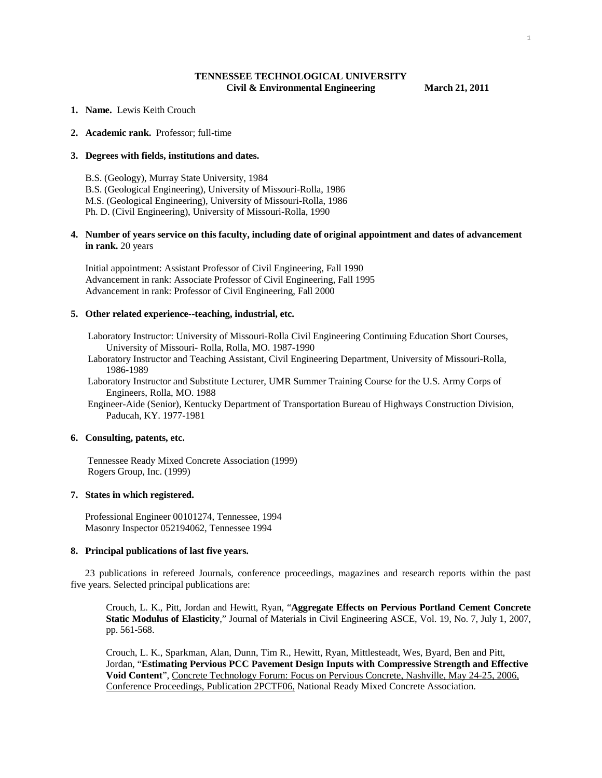## **TENNESSEE TECHNOLOGICAL UNIVERSITY Civil & Environmental Engineering March 21, 2011**

- **1. Name.** Lewis Keith Crouch
- **2. Academic rank.** Professor; full-time

### **3. Degrees with fields, institutions and dates.**

 B.S. (Geology), Murray State University, 1984 B.S. (Geological Engineering), University of Missouri-Rolla, 1986 M.S. (Geological Engineering), University of Missouri-Rolla, 1986 Ph. D. (Civil Engineering), University of Missouri-Rolla, 1990

### **4. Number of years service on this faculty, including date of original appointment and dates of advancement in rank.** 20 years

 Initial appointment: Assistant Professor of Civil Engineering, Fall 1990 Advancement in rank: Associate Professor of Civil Engineering, Fall 1995 Advancement in rank: Professor of Civil Engineering, Fall 2000

#### **5. Other related experience--teaching, industrial, etc.**

 Laboratory Instructor: University of Missouri-Rolla Civil Engineering Continuing Education Short Courses, University of Missouri- Rolla, Rolla, MO. 1987-1990

- Laboratory Instructor and Teaching Assistant, Civil Engineering Department, University of Missouri-Rolla, 1986-1989
- Laboratory Instructor and Substitute Lecturer, UMR Summer Training Course for the U.S. Army Corps of Engineers, Rolla, MO. 1988

 Engineer-Aide (Senior), Kentucky Department of Transportation Bureau of Highways Construction Division, Paducah, KY. 1977-1981

#### **6. Consulting, patents, etc.**

 Tennessee Ready Mixed Concrete Association (1999) Rogers Group, Inc. (1999)

### **7. States in which registered.**

 Professional Engineer 00101274, Tennessee, 1994 Masonry Inspector 052194062, Tennessee 1994

#### **8. Principal publications of last five years.**

 23 publications in refereed Journals, conference proceedings, magazines and research reports within the past five years. Selected principal publications are:

Crouch, L. K., Pitt, Jordan and Hewitt, Ryan, "**Aggregate Effects on Pervious Portland Cement Concrete Static Modulus of Elasticity**," Journal of Materials in Civil Engineering ASCE, Vol. 19, No. 7, July 1, 2007, pp. 561-568.

Crouch, L. K., Sparkman, Alan, Dunn, Tim R., Hewitt, Ryan, Mittlesteadt, Wes, Byard, Ben and Pitt, Jordan, "**Estimating Pervious PCC Pavement Design Inputs with Compressive Strength and Effective Void Content**", Concrete Technology Forum: Focus on Pervious Concrete, Nashville, May 24-25, 2006, Conference Proceedings, Publication 2PCTF06, National Ready Mixed Concrete Association.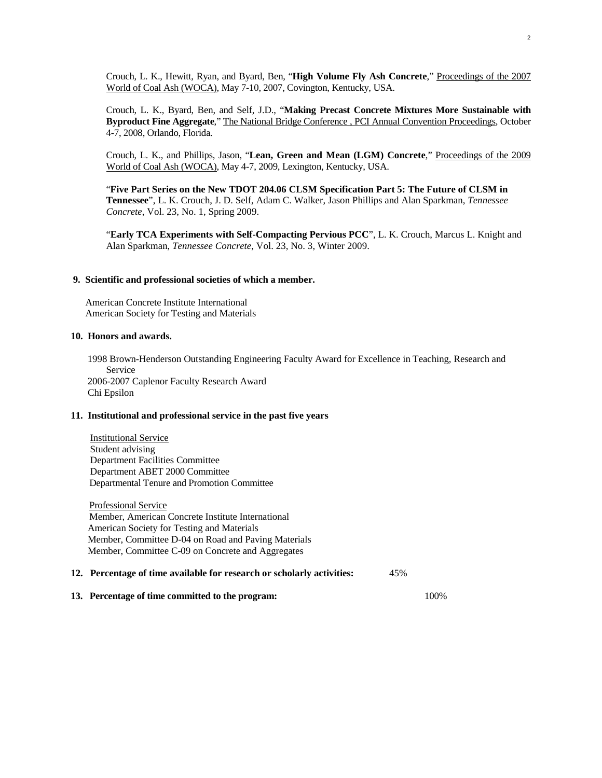Crouch, L. K., Hewitt, Ryan, and Byard, Ben, "**High Volume Fly Ash Concrete**," Proceedings of the 2007 World of Coal Ash (WOCA), May 7-10, 2007, Covington, Kentucky, USA.

Crouch, L. K., Byard, Ben, and Self, J.D., "**Making Precast Concrete Mixtures More Sustainable with Byproduct Fine Aggregate**," The National Bridge Conference , PCI Annual Convention Proceedings, October 4-7, 2008, Orlando, Florida.

Crouch, L. K., and Phillips, Jason, "**Lean, Green and Mean (LGM) Concrete**," Proceedings of the 2009 World of Coal Ash (WOCA), May 4-7, 2009, Lexington, Kentucky, USA.

"**Five Part Series on the New TDOT 204.06 CLSM Specification Part 5: The Future of CLSM in Tennessee**", L. K. Crouch, J. D. Self, Adam C. Walker, Jason Phillips and Alan Sparkman, *Tennessee Concrete*, Vol. 23, No. 1, Spring 2009.

"**Early TCA Experiments with Self-Compacting Pervious PCC**", L. K. Crouch, Marcus L. Knight and Alan Sparkman, *Tennessee Concrete*, Vol. 23, No. 3, Winter 2009.

#### **9. Scientific and professional societies of which a member.**

 American Concrete Institute International American Society for Testing and Materials

#### **10. Honors and awards.**

 1998 Brown-Henderson Outstanding Engineering Faculty Award for Excellence in Teaching, Research and Service 2006-2007 Caplenor Faculty Research Award Chi Epsilon

### **11. Institutional and professional service in the past five years**

 Institutional Service Student advising Department Facilities Committee Department ABET 2000 Committee Departmental Tenure and Promotion Committee

 Professional Service Member, American Concrete Institute International American Society for Testing and Materials Member, Committee D-04 on Road and Paving Materials Member, Committee C-09 on Concrete and Aggregates

## **12. Percentage of time available for research or scholarly activities:** 45%

**13. Percentage of time committed to the program:** 100%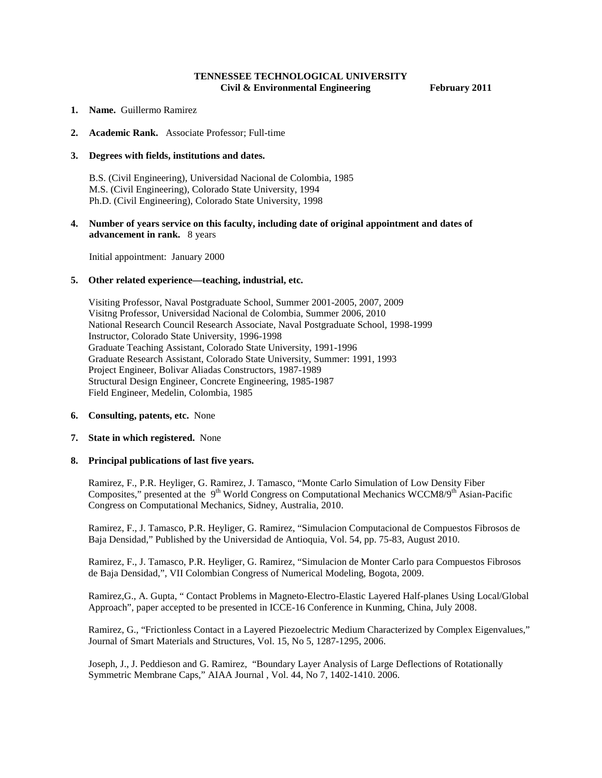## **TENNESSEE TECHNOLOGICAL UNIVERSITY Civil & Environmental Engineering February 2011**

- **1. Name.** Guillermo Ramirez
- **2. Academic Rank.** Associate Professor; Full-time

### **3. Degrees with fields, institutions and dates.**

 B.S. (Civil Engineering), Universidad Nacional de Colombia, 1985 M.S. (Civil Engineering), Colorado State University, 1994 Ph.D. (Civil Engineering), Colorado State University, 1998

**4. Number of years service on this faculty, including date of original appointment and dates of advancement in rank.** 8 years

Initial appointment: January 2000

#### **5. Other related experience—teaching, industrial, etc.**

Visiting Professor, Naval Postgraduate School, Summer 2001-2005, 2007, 2009 Visitng Professor, Universidad Nacional de Colombia, Summer 2006, 2010 National Research Council Research Associate, Naval Postgraduate School, 1998-1999 Instructor, Colorado State University, 1996-1998 Graduate Teaching Assistant, Colorado State University, 1991-1996 Graduate Research Assistant, Colorado State University, Summer: 1991, 1993 Project Engineer, Bolivar Aliadas Constructors, 1987-1989 Structural Design Engineer, Concrete Engineering, 1985-1987 Field Engineer, Medelin, Colombia, 1985

### **6. Consulting, patents, etc.** None

#### **7. State in which registered.** None

### **8. Principal publications of last five years.**

Ramirez, F., P.R. Heyliger, G. Ramirez, J. Tamasco, "Monte Carlo Simulation of Low Density Fiber Composites," presented at the  $9^{th}$  World Congress on Computational Mechanics WCCM8/ $9^{th}$  Asian-Pacific Congress on Computational Mechanics, Sidney, Australia, 2010.

Ramirez, F., J. Tamasco, P.R. Heyliger, G. Ramirez, "Simulacion Computacional de Compuestos Fibrosos de Baja Densidad," Published by the Universidad de Antioquia, Vol. 54, pp. 75-83, August 2010.

Ramirez, F., J. Tamasco, P.R. Heyliger, G. Ramirez, "Simulacion de Monter Carlo para Compuestos Fibrosos de Baja Densidad,", VII Colombian Congress of Numerical Modeling, Bogota, 2009.

Ramirez,G., A. Gupta, " Contact Problems in Magneto-Electro-Elastic Layered Half-planes Using Local/Global Approach", paper accepted to be presented in ICCE-16 Conference in Kunming, China, July 2008.

Ramirez, G., "Frictionless Contact in a Layered Piezoelectric Medium Characterized by Complex Eigenvalues," Journal of Smart Materials and Structures, Vol. 15, No 5, 1287-1295, 2006.

Joseph, J., J. Peddieson and G. Ramirez, "Boundary Layer Analysis of Large Deflections of Rotationally Symmetric Membrane Caps," AIAA Journal , Vol. 44, No 7, 1402-1410. 2006.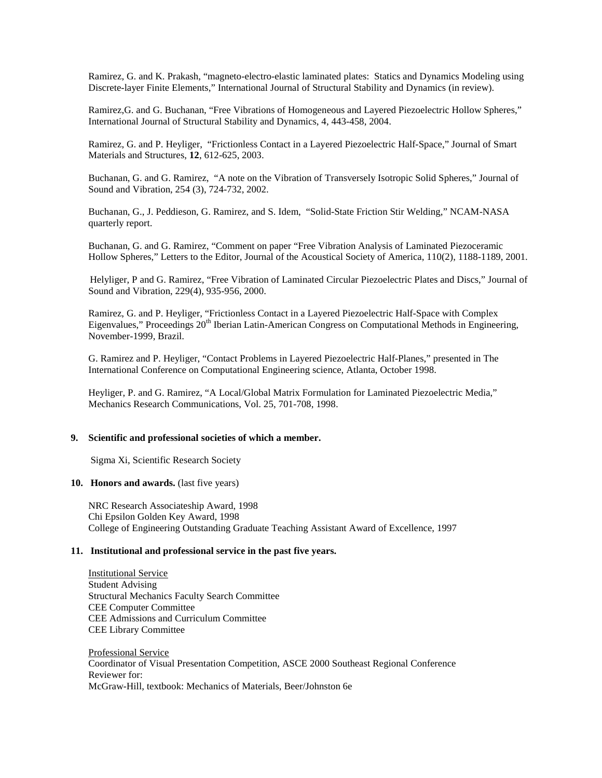Ramirez, G. and K. Prakash, "magneto-electro-elastic laminated plates: Statics and Dynamics Modeling using Discrete-layer Finite Elements," International Journal of Structural Stability and Dynamics (in review).

Ramirez,G. and G. Buchanan, "Free Vibrations of Homogeneous and Layered Piezoelectric Hollow Spheres," International Journal of Structural Stability and Dynamics, 4, 443-458, 2004.

Ramirez, G. and P. Heyliger, "Frictionless Contact in a Layered Piezoelectric Half-Space," Journal of Smart Materials and Structures, **12**, 612-625, 2003.

Buchanan, G. and G. Ramirez, "A note on the Vibration of Transversely Isotropic Solid Spheres," Journal of Sound and Vibration, 254 (3), 724-732, 2002.

Buchanan, G., J. Peddieson, G. Ramirez, and S. Idem, "Solid-State Friction Stir Welding," NCAM-NASA quarterly report.

Buchanan, G. and G. Ramirez, "Comment on paper "Free Vibration Analysis of Laminated Piezoceramic Hollow Spheres," Letters to the Editor, Journal of the Acoustical Society of America, 110(2), 1188-1189, 2001.

Helyliger, P and G. Ramirez, "Free Vibration of Laminated Circular Piezoelectric Plates and Discs," Journal of Sound and Vibration, 229(4), 935-956, 2000.

Ramirez, G. and P. Heyliger, "Frictionless Contact in a Layered Piezoelectric Half-Space with Complex Eigenvalues," Proceedings 20<sup>th</sup> Iberian Latin-American Congress on Computational Methods in Engineering, November-1999, Brazil.

G. Ramirez and P. Heyliger, "Contact Problems in Layered Piezoelectric Half-Planes," presented in The International Conference on Computational Engineering science, Atlanta, October 1998.

Heyliger, P. and G. Ramirez, "A Local/Global Matrix Formulation for Laminated Piezoelectric Media," Mechanics Research Communications, Vol. 25, 701-708, 1998.

#### **9. Scientific and professional societies of which a member.**

Sigma Xi, Scientific Research Society

### 10. **Honors and awards.** (last five years)

NRC Research Associateship Award, 1998 Chi Epsilon Golden Key Award, 1998 College of Engineering Outstanding Graduate Teaching Assistant Award of Excellence, 1997

## **11. Institutional and professional service in the past five years.**

Institutional Service Student Advising Structural Mechanics Faculty Search Committee CEE Computer Committee CEE Admissions and Curriculum Committee CEE Library Committee

Professional Service Coordinator of Visual Presentation Competition, ASCE 2000 Southeast Regional Conference Reviewer for: McGraw-Hill, textbook: Mechanics of Materials, Beer/Johnston 6e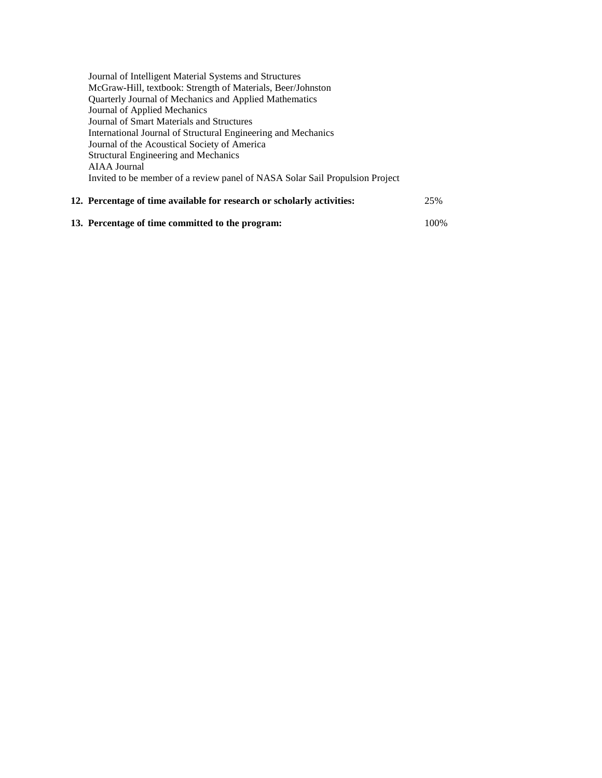| 75% |
|-----|
|     |

# **13. Percentage of time committed to the program:** 100%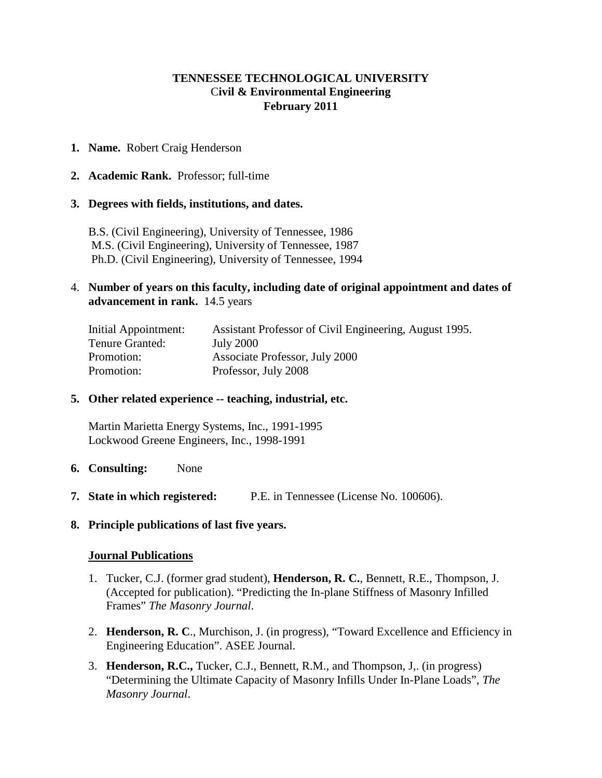# **TENNESSEE TECHNOLOGICAL UNIVERSITY** C**ivil & Environmental Engineering February 2011**

# **1. Name.** Robert Craig Henderson

**2. Academic Rank.** Professor; full-time

## **3. Degrees with fields, institutions, and dates.**

B.S. (Civil Engineering), University of Tennessee, 1986 M.S. (Civil Engineering), University of Tennessee, 1987 Ph.D. (Civil Engineering), University of Tennessee, 1994

# 4. **Number of years on this faculty, including date of original appointment and dates of advancement in rank.** 14.5 years

| Initial Appointment: | Assistant Professor of Civil Engineering, August 1995. |
|----------------------|--------------------------------------------------------|
| Tenure Granted:      | <b>July 2000</b>                                       |
| Promotion:           | Associate Professor, July 2000                         |
| Promotion:           | Professor, July 2008                                   |

## **5. Other related experience -- teaching, industrial, etc.**

Martin Marietta Energy Systems, Inc., 1991-1995 Lockwood Greene Engineers, Inc., 1998-1991

- **6. Consulting:** None
- **7. State in which registered:** P.E. in Tennessee (License No. 100606).
- **8. Principle publications of last five years.**

# **Journal Publications**

- 1. Tucker, C.J. (former grad student), **Henderson, R. C.**, Bennett, R.E., Thompson, J. (Accepted for publication). "Predicting the In-plane Stiffness of Masonry Infilled Frames" *The Masonry Journal*.
- 2. **Henderson, R. C**., Murchison, J. (in progress), "Toward Excellence and Efficiency in Engineering Education". ASEE Journal.
- 3. **Henderson, R.C.,** Tucker, C.J., Bennett, R.M., and Thompson, J,. (in progress) "Determining the Ultimate Capacity of Masonry Infills Under In-Plane Loads", *The Masonry Journal*.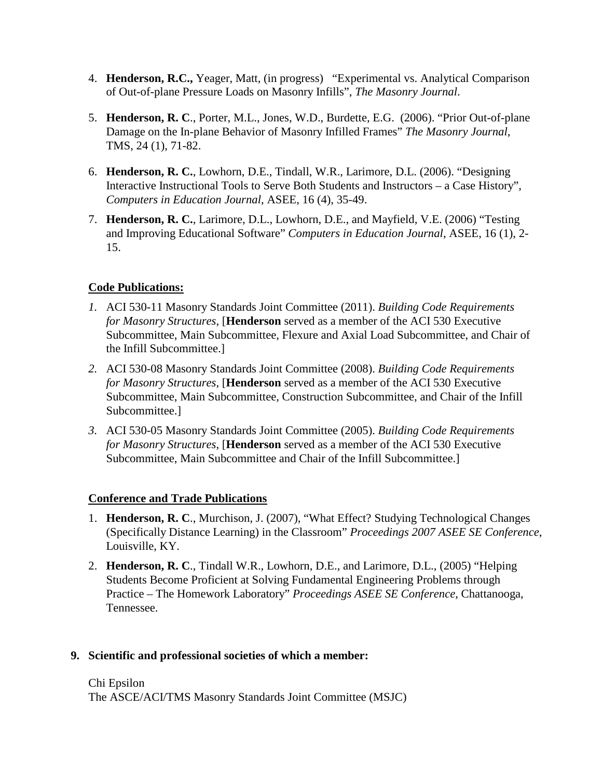- 4. **Henderson, R.C.,** Yeager, Matt, (in progress) "Experimental vs. Analytical Comparison of Out-of-plane Pressure Loads on Masonry Infills", *The Masonry Journal*.
- 5. **Henderson, R. C**., Porter, M.L., Jones, W.D., Burdette, E.G. (2006). "Prior Out-of-plane Damage on the In-plane Behavior of Masonry Infilled Frames" *The Masonry Journal*, TMS, 24 (1), 71-82.
- 6. **Henderson, R. C.**, Lowhorn, D.E., Tindall, W.R., Larimore, D.L. (2006). "Designing Interactive Instructional Tools to Serve Both Students and Instructors – a Case History", *Computers in Education Journal*, ASEE, 16 (4), 35-49.
- 7. **Henderson, R. C.**, Larimore, D.L., Lowhorn, D.E., and Mayfield, V.E. (2006) "Testing and Improving Educational Software" *Computers in Education Journal*, ASEE, 16 (1), 2- 15.

# **Code Publications:**

- *1.* ACI 530-11 Masonry Standards Joint Committee (2011). *Building Code Requirements for Masonry Structures*, [**Henderson** served as a member of the ACI 530 Executive Subcommittee, Main Subcommittee, Flexure and Axial Load Subcommittee, and Chair of the Infill Subcommittee.]
- *2.* ACI 530-08 Masonry Standards Joint Committee (2008). *Building Code Requirements for Masonry Structures*, [**Henderson** served as a member of the ACI 530 Executive Subcommittee, Main Subcommittee, Construction Subcommittee, and Chair of the Infill Subcommittee.]
- *3.* ACI 530-05 Masonry Standards Joint Committee (2005). *Building Code Requirements for Masonry Structures*, [**Henderson** served as a member of the ACI 530 Executive Subcommittee, Main Subcommittee and Chair of the Infill Subcommittee.]

# **Conference and Trade Publications**

- 1. **Henderson, R. C**., Murchison, J. (2007), "What Effect? Studying Technological Changes (Specifically Distance Learning) in the Classroom" *Proceedings 2007 ASEE SE Conference*, Louisville, KY.
- 2. **Henderson, R. C**., Tindall W.R., Lowhorn, D.E., and Larimore, D.L., (2005) "Helping Students Become Proficient at Solving Fundamental Engineering Problems through Practice – The Homework Laboratory" *Proceedings ASEE SE Conference*, Chattanooga, Tennessee.

# **9. Scientific and professional societies of which a member:**

# Chi Epsilon The ASCE/ACI/TMS Masonry Standards Joint Committee (MSJC)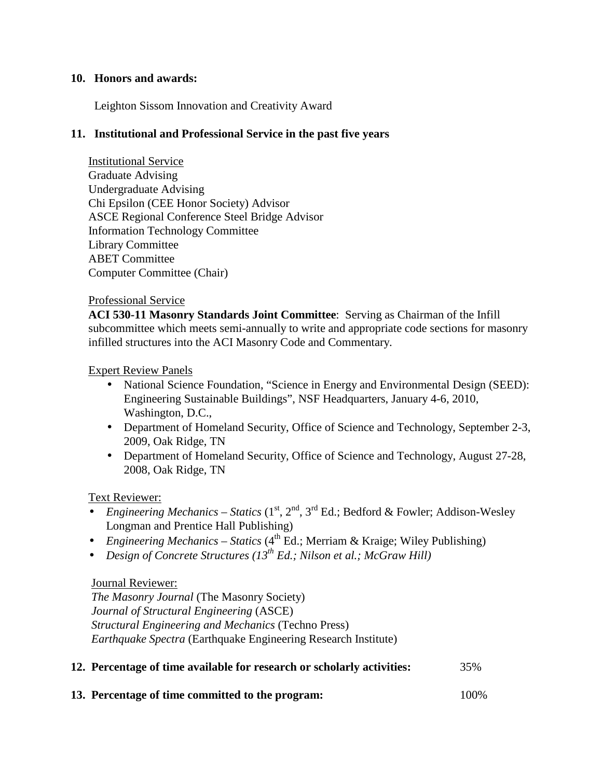# **10. Honors and awards:**

Leighton Sissom Innovation and Creativity Award

# **11. Institutional and Professional Service in the past five years**

Institutional Service Graduate Advising Undergraduate Advising Chi Epsilon (CEE Honor Society) Advisor ASCE Regional Conference Steel Bridge Advisor Information Technology Committee Library Committee ABET Committee Computer Committee (Chair)

# Professional Service

**ACI 530-11 Masonry Standards Joint Committee**: Serving as Chairman of the Infill subcommittee which meets semi-annually to write and appropriate code sections for masonry infilled structures into the ACI Masonry Code and Commentary.

# Expert Review Panels

- National Science Foundation, "Science in Energy and Environmental Design (SEED): Engineering Sustainable Buildings", NSF Headquarters, January 4-6, 2010, Washington, D.C.,
- Department of Homeland Security, Office of Science and Technology, September 2-3, 2009, Oak Ridge, TN
- Department of Homeland Security, Office of Science and Technology, August 27-28, 2008, Oak Ridge, TN

# Text Reviewer:

- *Engineering Mechanics Statics* (1<sup>st</sup>, 2<sup>nd</sup>, 3<sup>rd</sup> Ed.; Bedford & Fowler; Addison-Wesley Longman and Prentice Hall Publishing)
- *Engineering Mechanics Statics* (4<sup>th</sup> Ed.; Merriam & Kraige; Wiley Publishing)
- *Design of Concrete Structures (13th Ed.; Nilson et al.; McGraw Hill)*

# Journal Reviewer:

 *The Masonry Journal* (The Masonry Society)  *Journal of Structural Engineering* (ASCE)  *Structural Engineering and Mechanics* (Techno Press)  *Earthquake Spectra* (Earthquake Engineering Research Institute)

# **12. Percentage of time available for research or scholarly activities:** 35%

**13. Percentage of time committed to the program:** 100%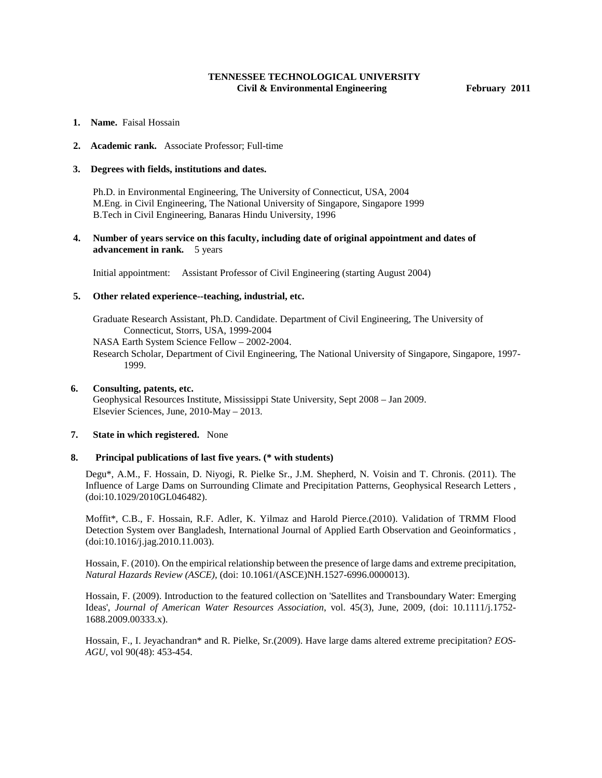## **TENNESSEE TECHNOLOGICAL UNIVERSITY Civil & Environmental Engineering February 2011**

- **1. Name.** Faisal Hossain
- **2. Academic rank.** Associate Professor; Full-time

#### **3. Degrees with fields, institutions and dates.**

Ph.D. in Environmental Engineering, The University of Connecticut, USA, 2004 M.Eng. in Civil Engineering, The National University of Singapore, Singapore 1999 B.Tech in Civil Engineering, Banaras Hindu University, 1996

### **4. Number of years service on this faculty, including date of original appointment and dates of advancement in rank.** 5 years

Initial appointment: Assistant Professor of Civil Engineering (starting August 2004)

#### **5. Other related experience--teaching, industrial, etc.**

Graduate Research Assistant, Ph.D. Candidate. Department of Civil Engineering, The University of Connecticut, Storrs, USA, 1999-2004 NASA Earth System Science Fellow – 2002-2004. Research Scholar, Department of Civil Engineering, The National University of Singapore, Singapore, 1997- 1999.

### **6. Consulting, patents, etc.**

Geophysical Resources Institute, Mississippi State University, Sept 2008 – Jan 2009. Elsevier Sciences, June, 2010-May – 2013.

#### **7. State in which registered.** None

### **8. Principal publications of last five years. (\* with students)**

Degu\*, A.M., F. Hossain, D. Niyogi, R. Pielke Sr., J.M. Shepherd, N. Voisin and T. Chronis. (2011). The Influence of Large Dams on Surrounding Climate and Precipitation Patterns, Geophysical Research Letters , (doi:10.1029/2010GL046482).

Moffit\*, C.B., F. Hossain, R.F. Adler, K. Yilmaz and Harold Pierce.(2010). Validation of TRMM Flood Detection System over Bangladesh, International Journal of Applied Earth Observation and Geoinformatics , (doi:10.1016/j.jag.2010.11.003).

Hossain, F. (2010). On the empirical relationship between the presence of large dams and extreme precipitation, *Natural Hazards Review (ASCE)*, (doi: 10.1061/(ASCE)NH.1527-6996.0000013).

Hossain, F. (2009). Introduction to the featured collection on 'Satellites and Transboundary Water: Emerging Ideas', *Journal of American Water Resources Association*, vol. 45(3), June, 2009, (doi: 10.1111/j.1752- 1688.2009.00333.x).

Hossain, F., I. Jeyachandran\* and R. Pielke, Sr.(2009). Have large dams altered extreme precipitation? *EOS-AGU*, vol 90(48): 453-454.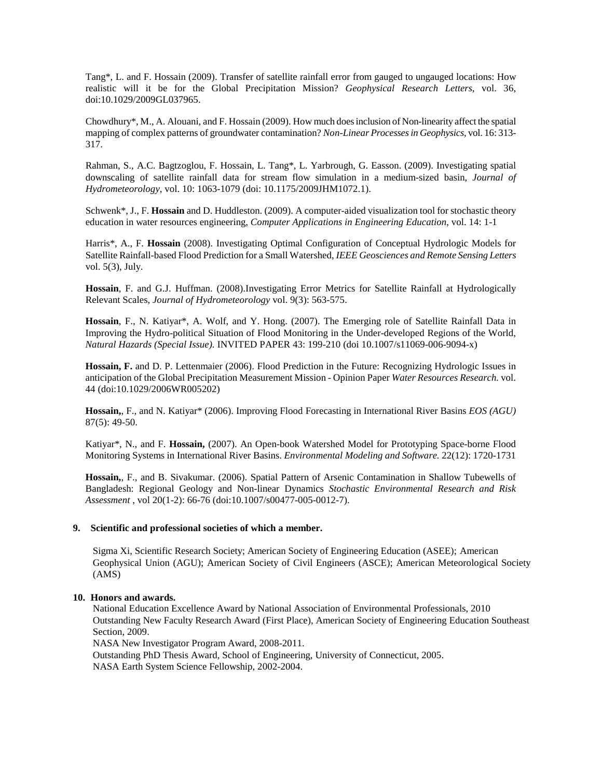Tang\*, L. and F. Hossain (2009). Transfer of satellite rainfall error from gauged to ungauged locations: How realistic will it be for the Global Precipitation Mission? *Geophysical Research Letters*, vol. 36, doi:10.1029/2009GL037965.

Chowdhury\*, M., A. Alouani, and F. Hossain (2009). How much does inclusion of Non-linearity affect the spatial mapping of complex patterns of groundwater contamination? *Non-Linear Processes in Geophysics*, vol. 16: 313- 317.

Rahman, S., A.C. Bagtzoglou, F. Hossain, L. Tang\*, L. Yarbrough, G. Easson. (2009). Investigating spatial downscaling of satellite rainfall data for stream flow simulation in a medium-sized basin, *Journal of Hydrometeorology*, vol. 10: 1063-1079 (doi: 10.1175/2009JHM1072.1).

Schwenk\*, J., F. **Hossain** and D. Huddleston. (2009). A computer-aided visualization tool for stochastic theory education in water resources engineering, *Computer Applications in Engineering Education*, vol. 14: 1-1

Harris\*, A., F. **Hossain** (2008). Investigating Optimal Configuration of Conceptual Hydrologic Models for Satellite Rainfall-based Flood Prediction for a Small Watershed, *IEEE Geosciences and Remote Sensing Letters* vol. 5(3), July.

**Hossain**, F. and G.J. Huffman. (2008).Investigating Error Metrics for Satellite Rainfall at Hydrologically Relevant Scales, *Journal of Hydrometeorology* vol. 9(3): 563-575.

**Hossain**, F., N. Katiyar\*, A. Wolf, and Y. Hong. (2007). The Emerging role of Satellite Rainfall Data in Improving the Hydro-political Situation of Flood Monitoring in the Under-developed Regions of the World, *Natural Hazards (Special Issue).* INVITED PAPER 43: 199-210 (doi 10.1007/s11069-006-9094-x)

**Hossain, F.** and D. P. Lettenmaier (2006). Flood Prediction in the Future: Recognizing Hydrologic Issues in anticipation of the Global Precipitation Measurement Mission - Opinion Paper *Water Resources Research.* vol. 44 (doi:10.1029/2006WR005202)

**Hossain,**, F., and N. Katiyar\* (2006). Improving Flood Forecasting in International River Basins *EOS (AGU)*  87(5): 49-50.

Katiyar\*, N., and F. **Hossain,** (2007). An Open-book Watershed Model for Prototyping Space-borne Flood Monitoring Systems in International River Basins. *Environmental Modeling and Software.* 22(12): 1720-1731

**Hossain,**, F., and B. Sivakumar. (2006). Spatial Pattern of Arsenic Contamination in Shallow Tubewells of Bangladesh: Regional Geology and Non-linear Dynamics *Stochastic Environmental Research and Risk Assessment* , vol 20(1-2): 66-76 (doi:10.1007/s00477-005-0012-7).

## **9. Scientific and professional societies of which a member.**

Sigma Xi, Scientific Research Society; American Society of Engineering Education (ASEE); American Geophysical Union (AGU); American Society of Civil Engineers (ASCE); American Meteorological Society (AMS)

### **10. Honors and awards.**

National Education Excellence Award by National Association of Environmental Professionals, 2010 Outstanding New Faculty Research Award (First Place), American Society of Engineering Education Southeast Section, 2009.

NASA New Investigator Program Award, 2008-2011.

Outstanding PhD Thesis Award, School of Engineering, University of Connecticut, 2005. NASA Earth System Science Fellowship, 2002-2004.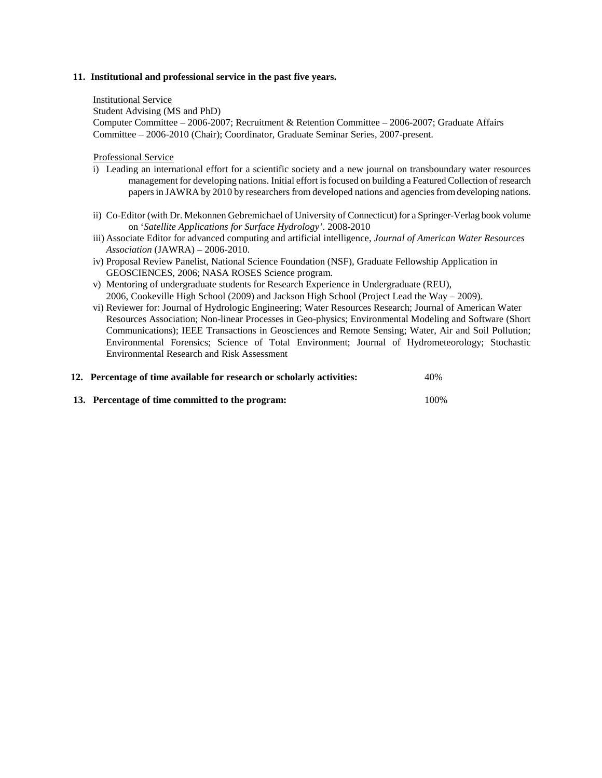### **11. Institutional and professional service in the past five years.**

Institutional Service

 Student Advising (MS and PhD) Computer Committee – 2006-2007; Recruitment & Retention Committee – 2006-2007; Graduate Affairs Committee – 2006-2010 (Chair); Coordinator, Graduate Seminar Series, 2007-present.

Professional Service

- i) Leading an international effort for a scientific society and a new journal on transboundary water resources management for developing nations. Initial effort is focused on building a Featured Collection of research papers in JAWRA by 2010 by researchers from developed nations and agencies from developing nations.
- ii) Co-Editor (with Dr. Mekonnen Gebremichael of University of Connecticut) for a Springer-Verlag book volume on '*Satellite Applications for Surface Hydrology'*. 2008-2010
- iii) Associate Editor for advanced computing and artificial intelligence, *Journal of American Water Resources Association* (JAWRA) – 2006-2010.
- iv) Proposal Review Panelist, National Science Foundation (NSF), Graduate Fellowship Application in GEOSCIENCES, 2006; NASA ROSES Science program.
- v) Mentoring of undergraduate students for Research Experience in Undergraduate (REU), 2006, Cookeville High School (2009) and Jackson High School (Project Lead the Way – 2009).
- vi) Reviewer for: Journal of Hydrologic Engineering; Water Resources Research; Journal of American Water Resources Association; Non-linear Processes in Geo-physics; Environmental Modeling and Software (Short Communications); IEEE Transactions in Geosciences and Remote Sensing; Water, Air and Soil Pollution; Environmental Forensics; Science of Total Environment; Journal of Hydrometeorology; Stochastic Environmental Research and Risk Assessment

| 12. Percentage of time available for research or scholarly activities: | 40%  |
|------------------------------------------------------------------------|------|
| 13. Percentage of time committed to the program:                       | 100% |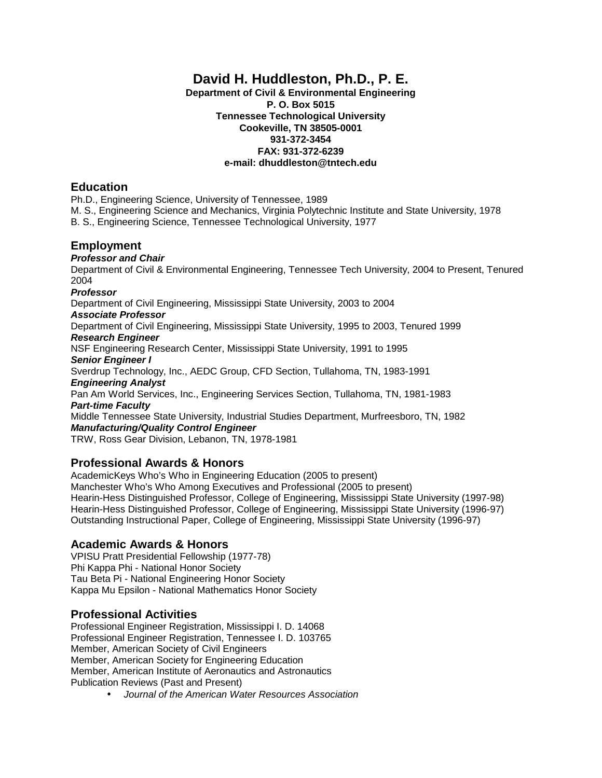# **David H. Huddleston, Ph.D., P. E.**

**Department of Civil & Environmental Engineering P. O. Box 5015 Tennessee Technological University Cookeville, TN 38505-0001 931-372-3454 FAX: 931-372-6239 e-mail: dhuddleston@tntech.edu**

# **Education**

Ph.D., Engineering Science, University of Tennessee, 1989

M. S., Engineering Science and Mechanics, Virginia Polytechnic Institute and State University, 1978

B. S., Engineering Science, Tennessee Technological University, 1977

# **Employment**

*Professor and Chair*

Department of Civil & Environmental Engineering, Tennessee Tech University, 2004 to Present, Tenured 2004

## *Professor*

Department of Civil Engineering, Mississippi State University, 2003 to 2004

## *Associate Professor*

Department of Civil Engineering, Mississippi State University, 1995 to 2003, Tenured 1999

## *Research Engineer*

NSF Engineering Research Center, Mississippi State University, 1991 to 1995 *Senior Engineer I*

Sverdrup Technology, Inc., AEDC Group, CFD Section, Tullahoma, TN, 1983-1991 *Engineering Analyst*

Pan Am World Services, Inc., Engineering Services Section, Tullahoma, TN, 1981-1983 *Part-time Faculty*

Middle Tennessee State University, Industrial Studies Department, Murfreesboro, TN, 1982 *Manufacturing/Quality Control Engineer*

TRW, Ross Gear Division, Lebanon, TN, 1978-1981

# **Professional Awards & Honors**

AcademicKeys Who's Who in Engineering Education (2005 to present) Manchester Who's Who Among Executives and Professional (2005 to present) Hearin-Hess Distinguished Professor, College of Engineering, Mississippi State University (1997-98) Hearin-Hess Distinguished Professor, College of Engineering, Mississippi State University (1996-97) Outstanding Instructional Paper, College of Engineering, Mississippi State University (1996-97)

# **Academic Awards & Honors**

VPISU Pratt Presidential Fellowship (1977-78) Phi Kappa Phi - National Honor Society Tau Beta Pi - National Engineering Honor Society Kappa Mu Epsilon - National Mathematics Honor Society

# **Professional Activities**

Professional Engineer Registration, Mississippi I. D. 14068 Professional Engineer Registration, Tennessee I. D. 103765 Member, American Society of Civil Engineers Member, American Society for Engineering Education Member, American Institute of Aeronautics and Astronautics Publication Reviews (Past and Present)

*Journal of the American Water Resources Association*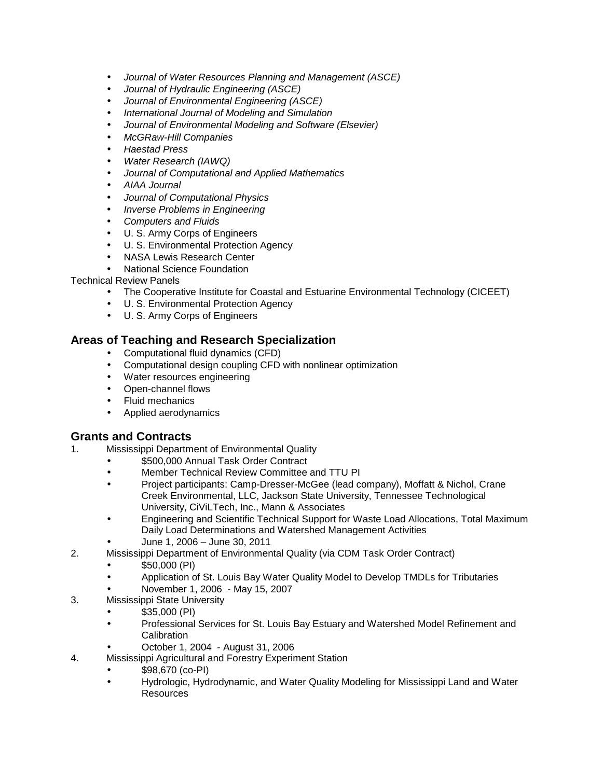- *Journal of Water Resources Planning and Management (ASCE)* l,
- *Journal of Hydraulic Engineering (ASCE)*  $\epsilon$
- *Journal of Environmental Engineering (ASCE)*
- *International Journal of Modeling and Simulation*
- *Journal of Environmental Modeling and Software (Elsevier)*
- *McGRaw-Hill Companies*
- *Haestad Press*
- *Water Research (IAWQ)*
- *Journal of Computational and Applied Mathematics*
- *AIAA Journal*
- *Journal of Computational Physics*
- *Inverse Problems in Engineering*
- *Computers and Fluids*
- U. S. Army Corps of Engineers
- U. S. Environmental Protection Agency  $\epsilon$
- NASA Lewis Research Center
- National Science Foundation

## Technical Review Panels

- The Cooperative Institute for Coastal and Estuarine Environmental Technology (CICEET)
- U. S. Environmental Protection Agency
- U. S. Army Corps of Engineers  $\mathbf{r}$

# **Areas of Teaching and Research Specialization**

- Computational fluid dynamics (CFD)
- Computational design coupling CFD with nonlinear optimization  $\mathbf{r}$
- Water resources engineering
- Open-channel flows
- Fluid mechanics
- Applied aerodynamics

# **Grants and Contracts**

- 1. Mississippi Department of Environmental Quality
	- \$500,000 Annual Task Order Contract
	- Member Technical Review Committee and TTU PI
	- Project participants: Camp-Dresser-McGee (lead company), Moffatt & Nichol, Crane Creek Environmental, LLC, Jackson State University, Tennessee Technological University, CiViLTech, Inc., Mann & Associates
	- Engineering and Scientific Technical Support for Waste Load Allocations, Total Maximum Daily Load Determinations and Watershed Management Activities
	- June 1, 2006 June 30, 2011
- 2. Mississippi Department of Environmental Quality (via CDM Task Order Contract)
	- \$50,000 (PI)
	- Application of St. Louis Bay Water Quality Model to Develop TMDLs for Tributaries
	- November 1, 2006 May 15, 2007
- 3. Mississippi State University
	- \$35,000 (PI)
	- Professional Services for St. Louis Bay Estuary and Watershed Model Refinement and l, **Calibration** 
		- October 1, 2004 August 31, 2006
- 4. Mississippi Agricultural and Forestry Experiment Station
	- \$98,670 (co-PI)
	- Hydrologic, Hydrodynamic, and Water Quality Modeling for Mississippi Land and Water Resources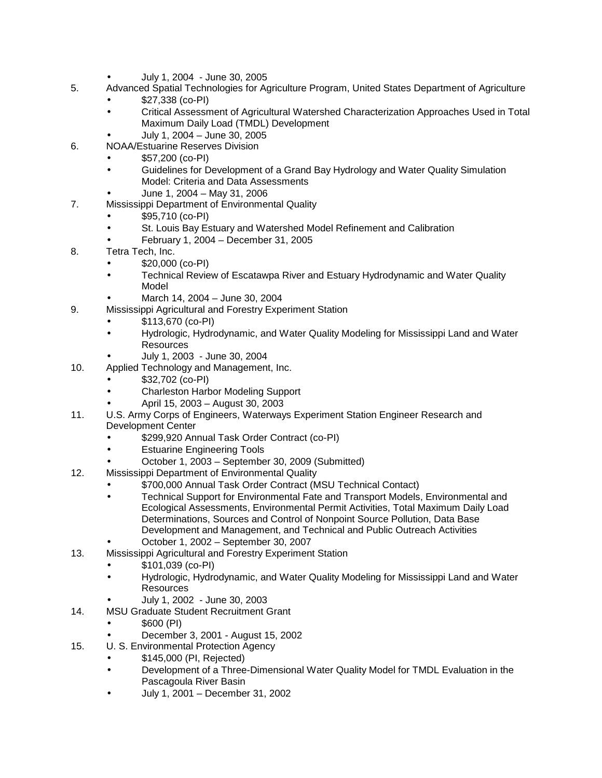- July 1, 2004 June 30, 2005
- 5. Advanced Spatial Technologies for Agriculture Program, United States Department of Agriculture
	- \$27,338 (co-PI)
	- Critical Assessment of Agricultural Watershed Characterization Approaches Used in Total Maximum Daily Load (TMDL) Development
		- July 1, 2004 June 30, 2005
- 6. NOAA/Estuarine Reserves Division
	- \$57,200 (co-PI)
	- Guidelines for Development of a Grand Bay Hydrology and Water Quality Simulation Model: Criteria and Data Assessments
- June 1, 2004 May 31, 2006 7. Mississippi Department of Environmental Quality
	- \$95,710 (co-PI)
		- St. Louis Bay Estuary and Watershed Model Refinement and Calibration
		- February 1, 2004 December 31, 2005  $\overline{a}$
- 8. Tetra Tech, Inc.
	- \$20,000 (co-PI)
	- Technical Review of Escatawpa River and Estuary Hydrodynamic and Water Quality Model
		- March 14, 2004 June 30, 2004
- 9. Mississippi Agricultural and Forestry Experiment Station
	- \$113,670 (co-PI)
	- Hydrologic, Hydrodynamic, and Water Quality Modeling for Mississippi Land and Water  $\overline{a}$ Resources
	- July 1, 2003 June 30, 2004
- 10. Applied Technology and Management, Inc.
	- \$32,702 (co-PI)
	- Charleston Harbor Modeling Support
	- April 15, 2003 August 30, 2003
- 11. U.S. Army Corps of Engineers, Waterways Experiment Station Engineer Research and Development Center
	- \$299,920 Annual Task Order Contract (co-PI)
	- Estuarine Engineering Tools
	- October 1, 2003 September 30, 2009 (Submitted)
- 12. Mississippi Department of Environmental Quality
	- \$700,000 Annual Task Order Contract (MSU Technical Contact)
	- Technical Support for Environmental Fate and Transport Models, Environmental and Ecological Assessments, Environmental Permit Activities, Total Maximum Daily Load Determinations, Sources and Control of Nonpoint Source Pollution, Data Base Development and Management, and Technical and Public Outreach Activities
	- October 1, 2002 September 30, 2007
- 13. Mississippi Agricultural and Forestry Experiment Station
	- \$101,039 (co-PI)
	- Hydrologic, Hydrodynamic, and Water Quality Modeling for Mississippi Land and Water **Resources** 
		- July 1, 2002 June 30, 2003
- 14. MSU Graduate Student Recruitment Grant
	- \$600 (PI)
		- December 3, 2001 August 15, 2002
- 15. U. S. Environmental Protection Agency
	- \$145,000 (PI, Rejected)
		- Development of a Three-Dimensional Water Quality Model for TMDL Evaluation in the Pascagoula River Basin
		- July 1, 2001 December 31, 2002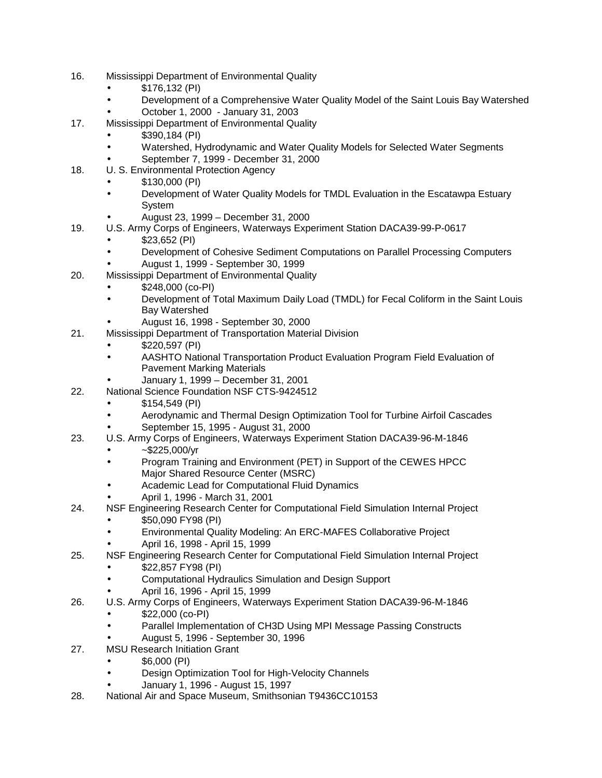- 16. Mississippi Department of Environmental Quality
	- \$176,132 (PI)
	- Development of a Comprehensive Water Quality Model of the Saint Louis Bay Watershed
	- October 1, 2000 January 31, 2003
- 17. Mississippi Department of Environmental Quality
	- \$390,184 (PI)
		- Watershed, Hydrodynamic and Water Quality Models for Selected Water Segments
		- September 7, 1999 December 31, 2000
- 18. U. S. Environmental Protection Agency
	- \$130,000 (PI)
	- Development of Water Quality Models for TMDL Evaluation in the Escatawpa Estuary System
		- August 23, 1999 December 31, 2000
- 19. U.S. Army Corps of Engineers, Waterways Experiment Station DACA39-99-P-0617
	- \$23,652 (PI)
	- Development of Cohesive Sediment Computations on Parallel Processing Computers August 1, 1999 - September 30, 1999
- 20. Mississippi Department of Environmental Quality
	- \$248,000 (co-PI)
	- Development of Total Maximum Daily Load (TMDL) for Fecal Coliform in the Saint Louis Bay Watershed
		- August 16, 1998 September 30, 2000
- 21. Mississippi Department of Transportation Material Division
	- \$220,597 (PI)
		- AASHTO National Transportation Product Evaluation Program Field Evaluation of Pavement Marking Materials
			- January 1, 1999 December 31, 2001
- 22. National Science Foundation NSF CTS-9424512
	- \$154,549 (PI)
	- Aerodynamic and Thermal Design Optimization Tool for Turbine Airfoil Cascades
		- September 15, 1995 August 31, 2000
- 23. U.S. Army Corps of Engineers, Waterways Experiment Station DACA39-96-M-1846
	- ~\$225,000/yr
	- Program Training and Environment (PET) in Support of the CEWES HPCC Major Shared Resource Center (MSRC)
	- Academic Lead for Computational Fluid Dynamics
	- April 1, 1996 March 31, 2001
- 24. NSF Engineering Research Center for Computational Field Simulation Internal Project \$50,090 FY98 (PI)
	- Environmental Quality Modeling: An ERC-MAFES Collaborative Project
	- April 16, 1998 April 15, 1999
- 25. NSF Engineering Research Center for Computational Field Simulation Internal Project \$22,857 FY98 (PI)
	- Computational Hydraulics Simulation and Design Support
	- April 16, 1996 April 15, 1999
- 26. U.S. Army Corps of Engineers, Waterways Experiment Station DACA39-96-M-1846
	- \$22,000 (co-PI)
	- Parallel Implementation of CH3D Using MPI Message Passing Constructs
	- August 5, 1996 September 30, 1996
- 27. MSU Research Initiation Grant
	- \$6,000 (PI)
	- Design Optimization Tool for High-Velocity Channels
	- January 1, 1996 August 15, 1997
- 28. National Air and Space Museum, Smithsonian T9436CC10153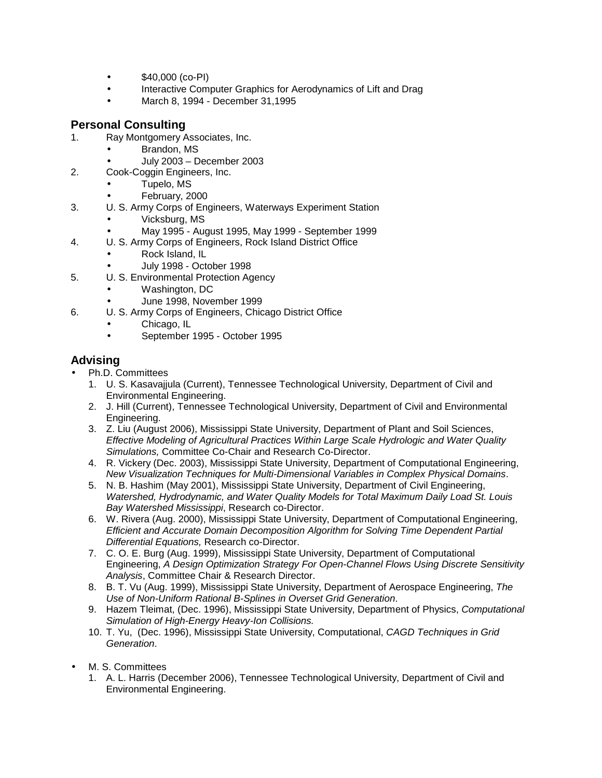- \$40,000 (co-PI)  $\blacksquare$
- Interactive Computer Graphics for Aerodynamics of Lift and Drag ä,
- March 8, 1994 December 31,1995

# **Personal Consulting**

- 1. Ray Montgomery Associates, Inc.
	- Brandon, MS
	- July 2003 December 2003
- 2. Cook-Coggin Engineers, Inc.
	- Tupelo, MS
		- February, 2000
- 3. U. S. Army Corps of Engineers, Waterways Experiment Station
	- Vicksburg, MS
	- May 1995 August 1995, May 1999 September 1999
- 4. U. S. Army Corps of Engineers, Rock Island District Office
	- Rock Island, IL
		- July 1998 October 1998
- 5. U. S. Environmental Protection Agency
	- Washington, DC
		- June 1998, November 1999
- 6. U. S. Army Corps of Engineers, Chicago District Office
	- Chicago, IL
	- September 1995 October 1995 l,

# **Advising**

- Ph.D. Committees
	- 1. U. S. Kasavajjula (Current), Tennessee Technological University, Department of Civil and Environmental Engineering.
	- 2. J. Hill (Current), Tennessee Technological University, Department of Civil and Environmental Engineering.
	- 3. Z. Liu (August 2006), Mississippi State University, Department of Plant and Soil Sciences, *Effective Modeling of Agricultural Practices Within Large Scale Hydrologic and Water Quality Simulations,* Committee Co-Chair and Research Co-Director.
	- 4. R. Vickery (Dec. 2003), Mississippi State University, Department of Computational Engineering, *New Visualization Techniques for Multi-Dimensional Variables in Complex Physical Domains*.
	- 5. N. B. Hashim (May 2001), Mississippi State University, Department of Civil Engineering, *Watershed, Hydrodynamic, and Water Quality Models for Total Maximum Daily Load St. Louis Bay Watershed Mississippi*, Research co-Director.
	- 6. W. Rivera (Aug. 2000), Mississippi State University, Department of Computational Engineering, *Efficient and Accurate Domain Decomposition Algorithm for Solving Time Dependent Partial Differential Equations,* Research co-Director.
	- 7. C. O. E. Burg (Aug. 1999), Mississippi State University, Department of Computational Engineering, *A Design Optimization Strategy For Open-Channel Flows Using Discrete Sensitivity Analysis*, Committee Chair & Research Director.
	- 8. B. T. Vu (Aug. 1999), Mississippi State University, Department of Aerospace Engineering, *The Use of Non-Uniform Rational B-Splines in Overset Grid Generation*.
	- 9. Hazem Tleimat, (Dec. 1996), Mississippi State University, Department of Physics, *Computational Simulation of High-Energy Heavy-Ion Collisions.*
	- 10. T. Yu, (Dec. 1996), Mississippi State University, Computational, *CAGD Techniques in Grid Generation*.
- M. S. Committees
	- 1. A. L. Harris (December 2006), Tennessee Technological University, Department of Civil and Environmental Engineering.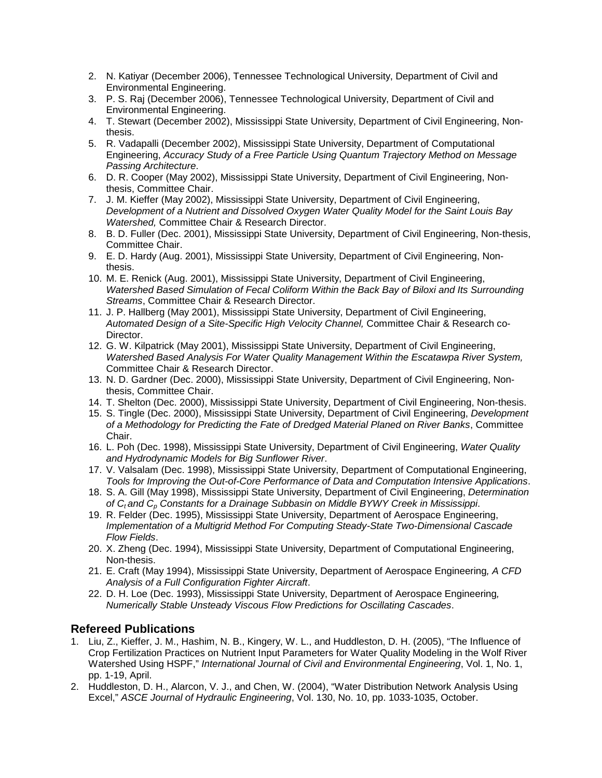- 2. N. Katiyar (December 2006), Tennessee Technological University, Department of Civil and Environmental Engineering.
- 3. P. S. Raj (December 2006), Tennessee Technological University, Department of Civil and Environmental Engineering.
- 4. T. Stewart (December 2002), Mississippi State University, Department of Civil Engineering, Nonthesis.
- 5. R. Vadapalli (December 2002), Mississippi State University, Department of Computational Engineering, *Accuracy Study of a Free Particle Using Quantum Trajectory Method on Message Passing Architecture*.
- 6. D. R. Cooper (May 2002), Mississippi State University, Department of Civil Engineering, Nonthesis, Committee Chair.
- 7. J. M. Kieffer (May 2002), Mississippi State University, Department of Civil Engineering, *Development of a Nutrient and Dissolved Oxygen Water Quality Model for the Saint Louis Bay Watershed,* Committee Chair & Research Director.
- 8. B. D. Fuller (Dec. 2001), Mississippi State University, Department of Civil Engineering, Non-thesis, Committee Chair.
- 9. E. D. Hardy (Aug. 2001), Mississippi State University, Department of Civil Engineering, Nonthesis.
- 10. M. E. Renick (Aug. 2001), Mississippi State University, Department of Civil Engineering, *Watershed Based Simulation of Fecal Coliform Within the Back Bay of Biloxi and Its Surrounding Streams*, Committee Chair & Research Director.
- 11. J. P. Hallberg (May 2001), Mississippi State University, Department of Civil Engineering, *Automated Design of a Site-Specific High Velocity Channel,* Committee Chair & Research co-Director.
- 12. G. W. Kilpatrick (May 2001), Mississippi State University, Department of Civil Engineering, *Watershed Based Analysis For Water Quality Management Within the Escatawpa River System,*  Committee Chair & Research Director.
- 13. N. D. Gardner (Dec. 2000), Mississippi State University, Department of Civil Engineering, Nonthesis, Committee Chair.
- 14. T. Shelton (Dec. 2000), Mississippi State University, Department of Civil Engineering, Non-thesis.
- 15. S. Tingle (Dec. 2000), Mississippi State University, Department of Civil Engineering, *Development of a Methodology for Predicting the Fate of Dredged Material Planed on River Banks*, Committee Chair.
- 16. L. Poh (Dec. 1998), Mississippi State University, Department of Civil Engineering, *Water Quality and Hydrodynamic Models for Big Sunflower River*.
- 17. V. Valsalam (Dec. 1998), Mississippi State University, Department of Computational Engineering, *Tools for Improving the Out-of-Core Performance of Data and Computation Intensive Applications*.
- 18. S. A. Gill (May 1998), Mississippi State University, Department of Civil Engineering, *Determination of Ct and Cp Constants for a Drainage Subbasin on Middle BYWY Creek in Mississippi*.
- 19. R. Felder (Dec. 1995), Mississippi State University, Department of Aerospace Engineering, *Implementation of a Multigrid Method For Computing Steady-State Two-Dimensional Cascade Flow Fields*.
- 20. X. Zheng (Dec. 1994), Mississippi State University, Department of Computational Engineering, Non-thesis.
- 21. E. Craft (May 1994), Mississippi State University, Department of Aerospace Engineering*, A CFD Analysis of a Full Configuration Fighter Aircraft*.
- 22. D. H. Loe (Dec. 1993), Mississippi State University, Department of Aerospace Engineering*, Numerically Stable Unsteady Viscous Flow Predictions for Oscillating Cascades*.

# **Refereed Publications**

- 1. Liu, Z., Kieffer, J. M., Hashim, N. B., Kingery, W. L., and Huddleston, D. H. (2005), "The Influence of Crop Fertilization Practices on Nutrient Input Parameters for Water Quality Modeling in the Wolf River Watershed Using HSPF," *International Journal of Civil and Environmental Engineering*, Vol. 1, No. 1, pp. 1-19, April.
- 2. Huddleston, D. H., Alarcon, V. J., and Chen, W. (2004), "Water Distribution Network Analysis Using Excel," *ASCE Journal of Hydraulic Engineering*, Vol. 130, No. 10, pp. 1033-1035, October.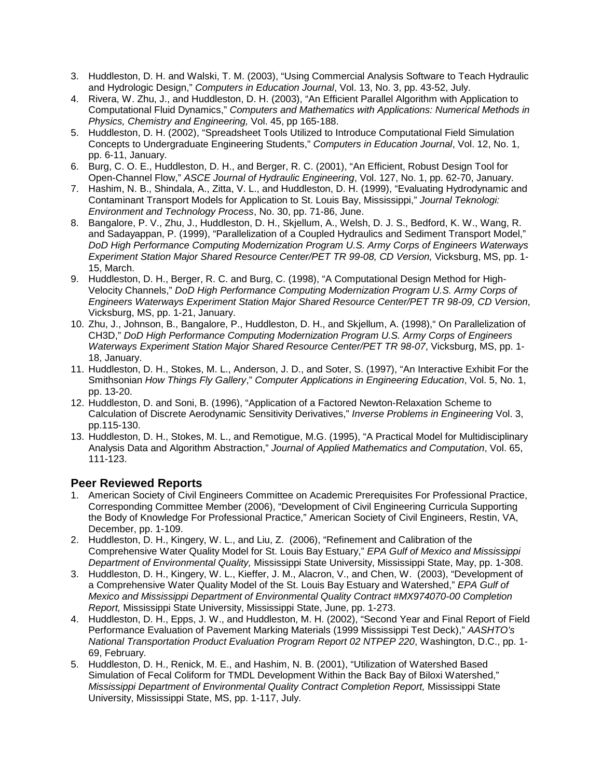- 3. Huddleston, D. H. and Walski, T. M. (2003), "Using Commercial Analysis Software to Teach Hydraulic and Hydrologic Design," *Computers in Education Journal*, Vol. 13, No. 3, pp. 43-52, July.
- 4. Rivera, W. Zhu, J., and Huddleston, D. H. (2003), "An Efficient Parallel Algorithm with Application to Computational Fluid Dynamics," *Computers and Mathematics with Applications: Numerical Methods in Physics, Chemistry and Engineering,* Vol. 45, pp 165-188.
- 5. Huddleston, D. H. (2002), "Spreadsheet Tools Utilized to Introduce Computational Field Simulation Concepts to Undergraduate Engineering Students," *Computers in Education Journal*, Vol. 12, No. 1, pp. 6-11, January.
- 6. Burg, C. O. E., Huddleston, D. H., and Berger, R. C. (2001), "An Efficient, Robust Design Tool for Open-Channel Flow," *ASCE Journal of Hydraulic Engineering*, Vol. 127, No. 1, pp. 62-70, January.
- 7. Hashim, N. B., Shindala, A., Zitta, V. L., and Huddleston, D. H. (1999), "Evaluating Hydrodynamic and Contaminant Transport Models for Application to St. Louis Bay, Mississippi," *Journal Teknologi: Environment and Technology Process*, No. 30, pp. 71-86, June.
- 8. Bangalore, P. V., Zhu, J., Huddleston, D. H., Skjellum, A., Welsh, D. J. S., Bedford, K. W., Wang, R. and Sadayappan, P. (1999), "Parallelization of a Coupled Hydraulics and Sediment Transport Model," *DoD High Performance Computing Modernization Program U.S. Army Corps of Engineers Waterways Experiment Station Major Shared Resource Center/PET TR 99-08, CD Version, Vicksburg, MS, pp. 1-*15, March.
- 9. Huddleston, D. H., Berger, R. C. and Burg, C. (1998), "A Computational Design Method for High-Velocity Channels," *DoD High Performance Computing Modernization Program U.S. Army Corps of Engineers Waterways Experiment Station Major Shared Resource Center/PET TR 98-09, CD Version*, Vicksburg, MS, pp. 1-21, January.
- 10. Zhu, J., Johnson, B., Bangalore, P., Huddleston, D. H., and Skjellum, A. (1998)," On Parallelization of CH3D," *DoD High Performance Computing Modernization Program U.S. Army Corps of Engineers Waterways Experiment Station Major Shared Resource Center/PET TR 98-07*, Vicksburg, MS, pp. 1- 18, January.
- 11. Huddleston, D. H., Stokes, M. L., Anderson, J. D., and Soter, S. (1997), "An Interactive Exhibit For the Smithsonian *How Things Fly Gallery*," *Computer Applications in Engineering Education*, Vol. 5, No. 1, pp. 13-20.
- 12. Huddleston, D. and Soni, B. (1996), "Application of a Factored Newton-Relaxation Scheme to Calculation of Discrete Aerodynamic Sensitivity Derivatives," *Inverse Problems in Engineering* Vol. 3, pp.115-130.
- 13. Huddleston, D. H., Stokes, M. L., and Remotigue, M.G. (1995), "A Practical Model for Multidisciplinary Analysis Data and Algorithm Abstraction," *Journal of Applied Mathematics and Computation*, Vol. 65, 111-123.

# **Peer Reviewed Reports**

- 1. American Society of Civil Engineers Committee on Academic Prerequisites For Professional Practice, Corresponding Committee Member (2006), "Development of Civil Engineering Curricula Supporting the Body of Knowledge For Professional Practice," American Society of Civil Engineers, Restin, VA, December, pp. 1-109.
- 2. Huddleston, D. H., Kingery, W. L., and Liu, Z. (2006), "Refinement and Calibration of the Comprehensive Water Quality Model for St. Louis Bay Estuary," *EPA Gulf of Mexico and Mississippi Department of Environmental Quality,* Mississippi State University, Mississippi State, May, pp. 1-308.
- 3. Huddleston, D. H., Kingery, W. L., Kieffer, J. M., Alacron, V., and Chen, W. (2003), "Development of a Comprehensive Water Quality Model of the St. Louis Bay Estuary and Watershed," *EPA Gulf of Mexico and Mississippi Department of Environmental Quality Contract #MX974070-00 Completion Report,* Mississippi State University, Mississippi State, June, pp. 1-273.
- 4. Huddleston, D. H., Epps, J. W., and Huddleston, M. H. (2002), "Second Year and Final Report of Field Performance Evaluation of Pavement Marking Materials (1999 Mississippi Test Deck)," *AASHTO's National Transportation Product Evaluation Program Report 02 NTPEP 220*, Washington, D.C., pp. 1- 69, February.
- 5. Huddleston, D. H., Renick, M. E., and Hashim, N. B. (2001), "Utilization of Watershed Based Simulation of Fecal Coliform for TMDL Development Within the Back Bay of Biloxi Watershed," *Mississippi Department of Environmental Quality Contract Completion Report,* Mississippi State University, Mississippi State, MS, pp. 1-117, July.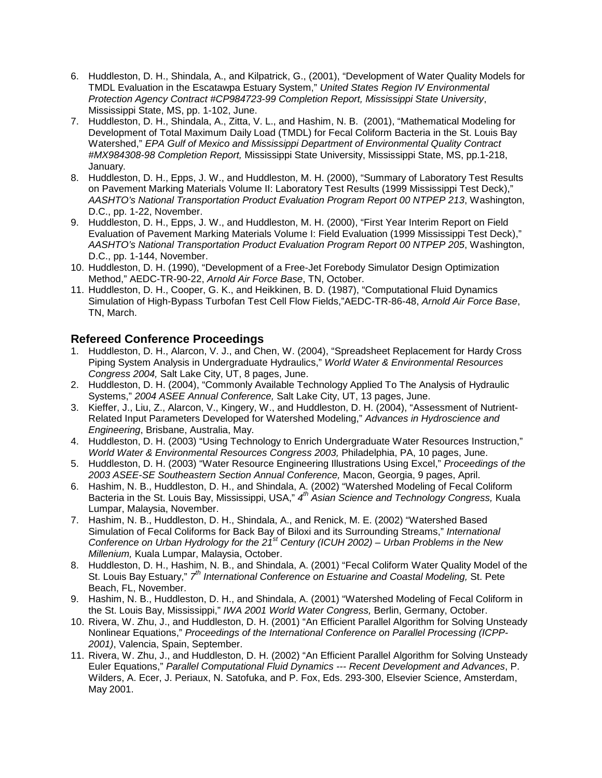- 6. Huddleston, D. H., Shindala, A., and Kilpatrick, G., (2001), "Development of Water Quality Models for TMDL Evaluation in the Escatawpa Estuary System," *United States Region IV Environmental Protection Agency Contract #CP984723-99 Completion Report, Mississippi State University*, Mississippi State, MS, pp. 1-102, June.
- 7. Huddleston, D. H., Shindala, A., Zitta, V. L., and Hashim, N. B. (2001), "Mathematical Modeling for Development of Total Maximum Daily Load (TMDL) for Fecal Coliform Bacteria in the St. Louis Bay Watershed," *EPA Gulf of Mexico and Mississippi Department of Environmental Quality Contract #MX984308-98 Completion Report,* Mississippi State University, Mississippi State, MS, pp.1-218, January.
- 8. Huddleston, D. H., Epps, J. W., and Huddleston, M. H. (2000), "Summary of Laboratory Test Results on Pavement Marking Materials Volume II: Laboratory Test Results (1999 Mississippi Test Deck)," *AASHTO's National Transportation Product Evaluation Program Report 00 NTPEP 213*, Washington, D.C., pp. 1-22, November.
- 9. Huddleston, D. H., Epps, J. W., and Huddleston, M. H. (2000), "First Year Interim Report on Field Evaluation of Pavement Marking Materials Volume I: Field Evaluation (1999 Mississippi Test Deck)," *AASHTO's National Transportation Product Evaluation Program Report 00 NTPEP 205*, Washington, D.C., pp. 1-144, November.
- 10. Huddleston, D. H. (1990), "Development of a Free-Jet Forebody Simulator Design Optimization Method," AEDC-TR-90-22, *Arnold Air Force Base*, TN, October.
- 11. Huddleston, D. H., Cooper, G. K., and Heikkinen, B. D. (1987), "Computational Fluid Dynamics Simulation of High-Bypass Turbofan Test Cell Flow Fields,"AEDC-TR-86-48, *Arnold Air Force Base*, TN, March.

# **Refereed Conference Proceedings**

- 1. Huddleston, D. H., Alarcon, V. J., and Chen, W. (2004), "Spreadsheet Replacement for Hardy Cross Piping System Analysis in Undergraduate Hydraulics," *World Water & Environmental Resources Congress 2004,* Salt Lake City, UT, 8 pages, June.
- 2. Huddleston, D. H. (2004), "Commonly Available Technology Applied To The Analysis of Hydraulic Systems," *2004 ASEE Annual Conference,* Salt Lake City, UT, 13 pages, June.
- 3. Kieffer, J., Liu, Z., Alarcon, V., Kingery, W., and Huddleston, D. H. (2004), "Assessment of Nutrient-Related Input Parameters Developed for Watershed Modeling," *Advances in Hydroscience and Engineering*, Brisbane, Australia, May.
- 4. Huddleston, D. H. (2003) "Using Technology to Enrich Undergraduate Water Resources Instruction," *World Water & Environmental Resources Congress 2003,* Philadelphia, PA, 10 pages, June.
- 5. Huddleston, D. H. (2003) "Water Resource Engineering Illustrations Using Excel," *Proceedings of the 2003 ASEE-SE Southeastern Section Annual Conference,* Macon, Georgia, 9 pages, April.
- 6. Hashim, N. B., Huddleston, D. H., and Shindala, A. (2002) "Watershed Modeling of Fecal Coliform Bacteria in the St. Louis Bay, Mississippi, USA," *4th Asian Science and Technology Congress,* Kuala Lumpar, Malaysia, November.
- 7. Hashim, N. B., Huddleston, D. H., Shindala, A., and Renick, M. E. (2002) "Watershed Based Simulation of Fecal Coliforms for Back Bay of Biloxi and its Surrounding Streams," *International Conference on Urban Hydrology for the 21st Century (ICUH 2002) – Urban Problems in the New Millenium,* Kuala Lumpar, Malaysia, October.
- 8. Huddleston, D. H., Hashim, N. B., and Shindala, A. (2001) "Fecal Coliform Water Quality Model of the St. Louis Bay Estuary," *7th International Conference on Estuarine and Coastal Modeling,* St. Pete Beach, FL, November.
- 9. Hashim, N. B., Huddleston, D. H., and Shindala, A. (2001) "Watershed Modeling of Fecal Coliform in the St. Louis Bay, Mississippi," *IWA 2001 World Water Congress,* Berlin, Germany, October.
- 10. Rivera, W. Zhu, J., and Huddleston, D. H. (2001) "An Efficient Parallel Algorithm for Solving Unsteady Nonlinear Equations," *Proceedings of the International Conference on Parallel Processing (ICPP-2001)*, Valencia, Spain, September.
- 11. Rivera, W. Zhu, J., and Huddleston, D. H. (2002) "An Efficient Parallel Algorithm for Solving Unsteady Euler Equations," *Parallel Computational Fluid Dynamics --- Recent Development and Advances*, P. Wilders, A. Ecer, J. Periaux, N. Satofuka, and P. Fox, Eds. 293-300, Elsevier Science, Amsterdam, May 2001.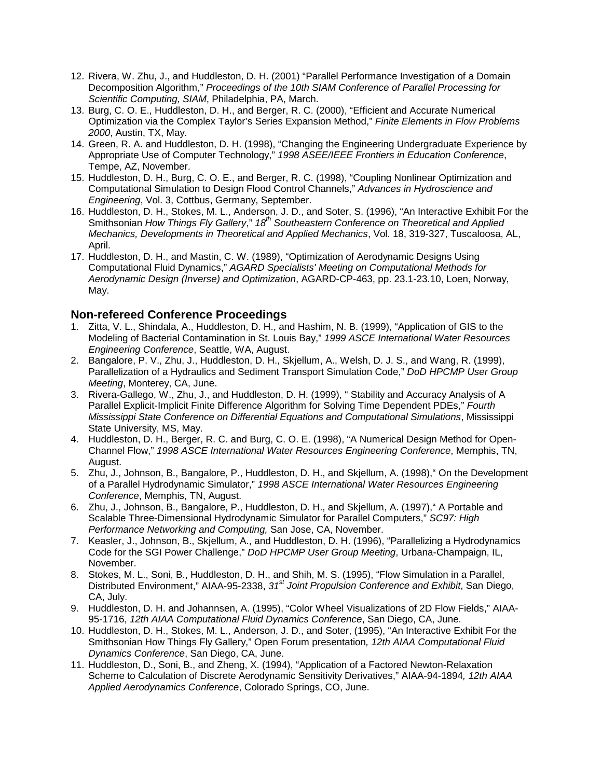- 12. Rivera, W. Zhu, J., and Huddleston, D. H. (2001) "Parallel Performance Investigation of a Domain Decomposition Algorithm," *Proceedings of the 10th SIAM Conference of Parallel Processing for Scientific Computing, SIAM*, Philadelphia, PA, March.
- 13. Burg, C. O. E., Huddleston, D. H., and Berger, R. C. (2000), "Efficient and Accurate Numerical Optimization via the Complex Taylor's Series Expansion Method," *Finite Elements in Flow Problems 2000*, Austin, TX, May.
- 14. Green, R. A. and Huddleston, D. H. (1998), "Changing the Engineering Undergraduate Experience by Appropriate Use of Computer Technology," *1998 ASEE/IEEE Frontiers in Education Conference*, Tempe, AZ, November.
- 15. Huddleston, D. H., Burg, C. O. E., and Berger, R. C. (1998), "Coupling Nonlinear Optimization and Computational Simulation to Design Flood Control Channels," *Advances in Hydroscience and Engineering*, Vol. 3, Cottbus, Germany, September.
- 16. Huddleston, D. H., Stokes, M. L., Anderson, J. D., and Soter, S. (1996), "An Interactive Exhibit For the Smithsonian *How Things Fly Gallery*," *18th Southeastern Conference on Theoretical and Applied Mechanics, Developments in Theoretical and Applied Mechanics*, Vol. 18, 319-327, Tuscaloosa, AL, April.
- 17. Huddleston, D. H., and Mastin, C. W. (1989), "Optimization of Aerodynamic Designs Using Computational Fluid Dynamics," *AGARD Specialists' Meeting on Computational Methods for Aerodynamic Design (Inverse) and Optimization*, AGARD-CP-463, pp. 23.1-23.10, Loen, Norway, May.

# **Non-refereed Conference Proceedings**

- 1. Zitta, V. L., Shindala, A., Huddleston, D. H., and Hashim, N. B. (1999), "Application of GIS to the Modeling of Bacterial Contamination in St. Louis Bay," *1999 ASCE International Water Resources Engineering Conference*, Seattle, WA, August.
- 2. Bangalore, P. V., Zhu, J., Huddleston, D. H., Skjellum, A., Welsh, D. J. S., and Wang, R. (1999), Parallelization of a Hydraulics and Sediment Transport Simulation Code," *DoD HPCMP User Group Meeting*, Monterey, CA, June.
- 3. Rivera-Gallego, W., Zhu, J., and Huddleston, D. H. (1999), " Stability and Accuracy Analysis of A Parallel Explicit-Implicit Finite Difference Algorithm for Solving Time Dependent PDEs," *Fourth Mississippi State Conference on Differential Equations and Computational Simulations*, Mississippi State University, MS, May.
- 4. Huddleston, D. H., Berger, R. C. and Burg, C. O. E. (1998), "A Numerical Design Method for Open-Channel Flow," *1998 ASCE International Water Resources Engineering Conference*, Memphis, TN, August.
- 5. Zhu, J., Johnson, B., Bangalore, P., Huddleston, D. H., and Skjellum, A. (1998)," On the Development of a Parallel Hydrodynamic Simulator," *1998 ASCE International Water Resources Engineering Conference*, Memphis, TN, August.
- 6. Zhu, J., Johnson, B., Bangalore, P., Huddleston, D. H., and Skjellum, A. (1997)," A Portable and Scalable Three-Dimensional Hydrodynamic Simulator for Parallel Computers," *SC97: High Performance Networking and Computing,* San Jose, CA, November.
- 7. Keasler, J., Johnson, B., Skjellum, A., and Huddleston, D. H. (1996), "Parallelizing a Hydrodynamics Code for the SGI Power Challenge," *DoD HPCMP User Group Meeting*, Urbana-Champaign, IL, November.
- 8. Stokes, M. L., Soni, B., Huddleston, D. H., and Shih, M. S. (1995), "Flow Simulation in a Parallel, Distributed Environment," AIAA-95-2338, *31st Joint Propulsion Conference and Exhibit*, San Diego, CA, July.
- 9. Huddleston, D. H. and Johannsen, A. (1995), "Color Wheel Visualizations of 2D Flow Fields," AIAA-95-1716, *12th AIAA Computational Fluid Dynamics Conference*, San Diego, CA, June.
- 10. Huddleston, D. H., Stokes, M. L., Anderson, J. D., and Soter, (1995), "An Interactive Exhibit For the Smithsonian How Things Fly Gallery," Open Forum presentation*, 12th AIAA Computational Fluid Dynamics Conference*, San Diego, CA, June.
- 11. Huddleston, D., Soni, B., and Zheng, X. (1994), "Application of a Factored Newton-Relaxation Scheme to Calculation of Discrete Aerodynamic Sensitivity Derivatives," AIAA-94-1894*, 12th AIAA Applied Aerodynamics Conference*, Colorado Springs, CO, June.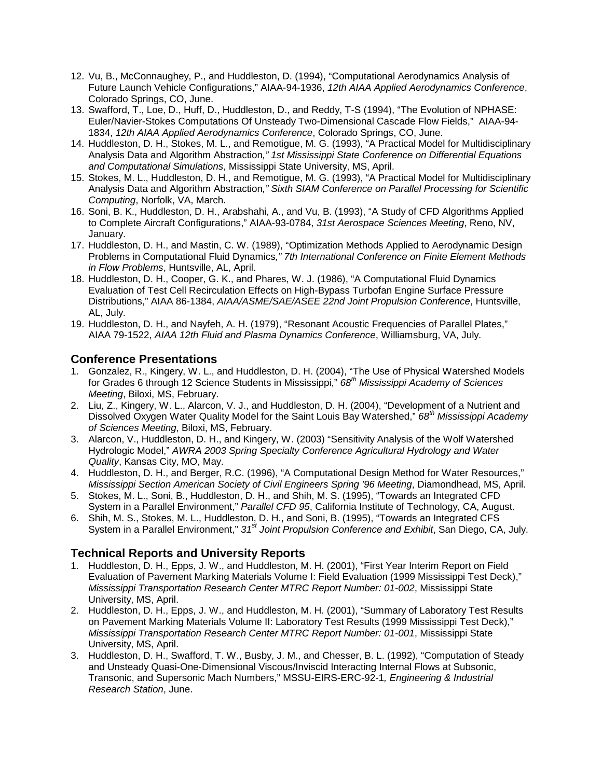- 12. Vu, B., McConnaughey, P., and Huddleston, D. (1994), "Computational Aerodynamics Analysis of Future Launch Vehicle Configurations," AIAA-94-1936, *12th AIAA Applied Aerodynamics Conference*, Colorado Springs, CO, June.
- 13. Swafford, T., Loe, D., Huff, D., Huddleston, D., and Reddy, T-S (1994), "The Evolution of NPHASE: Euler/Navier-Stokes Computations Of Unsteady Two-Dimensional Cascade Flow Fields," AIAA-94- 1834, *12th AIAA Applied Aerodynamics Conference*, Colorado Springs, CO, June.
- 14. Huddleston, D. H., Stokes, M. L., and Remotigue, M. G. (1993), "A Practical Model for Multidisciplinary Analysis Data and Algorithm Abstraction*," 1st Mississippi State Conference on Differential Equations and Computational Simulations*, Mississippi State University, MS, April.
- 15. Stokes, M. L., Huddleston, D. H., and Remotigue, M. G. (1993), "A Practical Model for Multidisciplinary Analysis Data and Algorithm Abstraction*," Sixth SIAM Conference on Parallel Processing for Scientific Computing*, Norfolk, VA, March.
- 16. Soni, B. K., Huddleston, D. H., Arabshahi, A., and Vu, B. (1993), "A Study of CFD Algorithms Applied to Complete Aircraft Configurations," AIAA-93-0784, *31st Aerospace Sciences Meeting*, Reno, NV, January.
- 17. Huddleston, D. H., and Mastin, C. W. (1989), "Optimization Methods Applied to Aerodynamic Design Problems in Computational Fluid Dynamics*," 7th International Conference on Finite Element Methods in Flow Problems*, Huntsville, AL, April.
- 18. Huddleston, D. H., Cooper, G. K., and Phares, W. J. (1986), "A Computational Fluid Dynamics Evaluation of Test Cell Recirculation Effects on High-Bypass Turbofan Engine Surface Pressure Distributions," AIAA 86-1384, *AIAA/ASME/SAE/ASEE 22nd Joint Propulsion Conference*, Huntsville, AL, July.
- 19. Huddleston, D. H., and Nayfeh, A. H. (1979), "Resonant Acoustic Frequencies of Parallel Plates," AIAA 79-1522, *AIAA 12th Fluid and Plasma Dynamics Conference*, Williamsburg, VA, July.

# **Conference Presentations**

- 1. Gonzalez, R., Kingery, W. L., and Huddleston, D. H. (2004), "The Use of Physical Watershed Models for Grades 6 through 12 Science Students in Mississippi," *68th Mississippi Academy of Sciences Meeting*, Biloxi, MS, February.
- 2. Liu, Z., Kingery, W. L., Alarcon, V. J., and Huddleston, D. H. (2004), "Development of a Nutrient and Dissolved Oxygen Water Quality Model for the Saint Louis Bay Watershed," *68th Mississippi Academy of Sciences Meeting*, Biloxi, MS, February.
- 3. Alarcon, V., Huddleston, D. H., and Kingery, W. (2003) "Sensitivity Analysis of the Wolf Watershed Hydrologic Model," *AWRA 2003 Spring Specialty Conference Agricultural Hydrology and Water Quality*, Kansas City, MO, May.
- 4. Huddleston, D. H., and Berger, R.C. (1996), "A Computational Design Method for Water Resources," *Mississippi Section American Society of Civil Engineers Spring '96 Meeting*, Diamondhead, MS, April.
- 5. Stokes, M. L., Soni, B., Huddleston, D. H., and Shih, M. S. (1995), "Towards an Integrated CFD System in a Parallel Environment," *Parallel CFD 95*, California Institute of Technology, CA, August.
- 6. Shih, M. S., Stokes, M. L., Huddleston, D. H., and Soni, B. (1995), "Towards an Integrated CFS System in a Parallel Environment," *31st Joint Propulsion Conference and Exhibit*, San Diego, CA, July.

# **Technical Reports and University Reports**

- 1. Huddleston, D. H., Epps, J. W., and Huddleston, M. H. (2001), "First Year Interim Report on Field Evaluation of Pavement Marking Materials Volume I: Field Evaluation (1999 Mississippi Test Deck)," *Mississippi Transportation Research Center MTRC Report Number: 01-002*, Mississippi State University, MS, April.
- 2. Huddleston, D. H., Epps, J. W., and Huddleston, M. H. (2001), "Summary of Laboratory Test Results on Pavement Marking Materials Volume II: Laboratory Test Results (1999 Mississippi Test Deck)," *Mississippi Transportation Research Center MTRC Report Number: 01-001*, Mississippi State University, MS, April.
- 3. Huddleston, D. H., Swafford, T. W., Busby, J. M., and Chesser, B. L. (1992), "Computation of Steady and Unsteady Quasi-One-Dimensional Viscous/Inviscid Interacting Internal Flows at Subsonic, Transonic, and Supersonic Mach Numbers," MSSU-EIRS-ERC-92-1*, Engineering & Industrial Research Station*, June.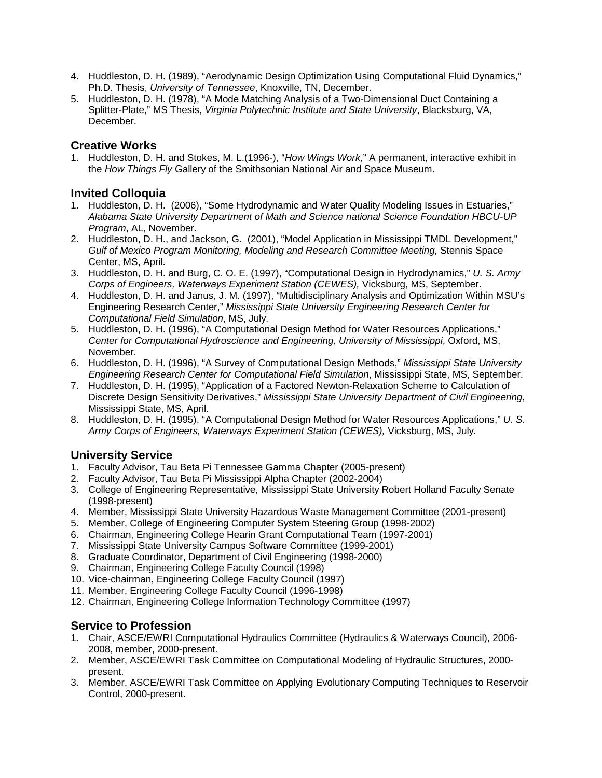- 4. Huddleston, D. H. (1989), "Aerodynamic Design Optimization Using Computational Fluid Dynamics," Ph.D. Thesis, *University of Tennessee*, Knoxville, TN, December.
- 5. Huddleston, D. H. (1978), "A Mode Matching Analysis of a Two-Dimensional Duct Containing a Splitter-Plate," MS Thesis, *Virginia Polytechnic Institute and State University*, Blacksburg, VA, December.

# **Creative Works**

1. Huddleston, D. H. and Stokes, M. L.(1996-), "*How Wings Work*," A permanent, interactive exhibit in the *How Things Fly* Gallery of the Smithsonian National Air and Space Museum.

# **Invited Colloquia**

- 1. Huddleston, D. H. (2006), "Some Hydrodynamic and Water Quality Modeling Issues in Estuaries," *Alabama State University Department of Math and Science national Science Foundation HBCU-UP Program*, AL, November.
- 2. Huddleston, D. H., and Jackson, G. (2001), "Model Application in Mississippi TMDL Development," *Gulf of Mexico Program Monitoring, Modeling and Research Committee Meeting,* Stennis Space Center, MS, April.
- 3. Huddleston, D. H. and Burg, C. O. E. (1997), "Computational Design in Hydrodynamics," *U. S. Army Corps of Engineers, Waterways Experiment Station (CEWES),* Vicksburg, MS, September.
- 4. Huddleston, D. H. and Janus, J. M. (1997), "Multidisciplinary Analysis and Optimization Within MSU's Engineering Research Center," *Mississippi State University Engineering Research Center for Computational Field Simulation*, MS, July.
- 5. Huddleston, D. H. (1996), "A Computational Design Method for Water Resources Applications," *Center for Computational Hydroscience and Engineering, University of Mississippi*, Oxford, MS, November.
- 6. Huddleston, D. H. (1996), "A Survey of Computational Design Methods," *Mississippi State University Engineering Research Center for Computational Field Simulation*, Mississippi State, MS, September.
- 7. Huddleston, D. H. (1995), "Application of a Factored Newton-Relaxation Scheme to Calculation of Discrete Design Sensitivity Derivatives," *Mississippi State University Department of Civil Engineering*, Mississippi State, MS, April.
- 8. Huddleston, D. H. (1995), "A Computational Design Method for Water Resources Applications," *U. S. Army Corps of Engineers, Waterways Experiment Station (CEWES),* Vicksburg, MS, July.

# **University Service**

- 1. Faculty Advisor, Tau Beta Pi Tennessee Gamma Chapter (2005-present)
- 2. Faculty Advisor, Tau Beta Pi Mississippi Alpha Chapter (2002-2004)
- 3. College of Engineering Representative, Mississippi State University Robert Holland Faculty Senate (1998-present)
- 4. Member, Mississippi State University Hazardous Waste Management Committee (2001-present)
- 5. Member, College of Engineering Computer System Steering Group (1998-2002)
- 6. Chairman, Engineering College Hearin Grant Computational Team (1997-2001)
- 7. Mississippi State University Campus Software Committee (1999-2001)
- 8. Graduate Coordinator, Department of Civil Engineering (1998-2000)
- 9. Chairman, Engineering College Faculty Council (1998)
- 10. Vice-chairman, Engineering College Faculty Council (1997)
- 11. Member, Engineering College Faculty Council (1996-1998)
- 12. Chairman, Engineering College Information Technology Committee (1997)

# **Service to Profession**

- 1. Chair, ASCE/EWRI Computational Hydraulics Committee (Hydraulics & Waterways Council), 2006- 2008, member, 2000-present.
- 2. Member, ASCE/EWRI Task Committee on Computational Modeling of Hydraulic Structures, 2000 present.
- 3. Member, ASCE/EWRI Task Committee on Applying Evolutionary Computing Techniques to Reservoir Control, 2000-present.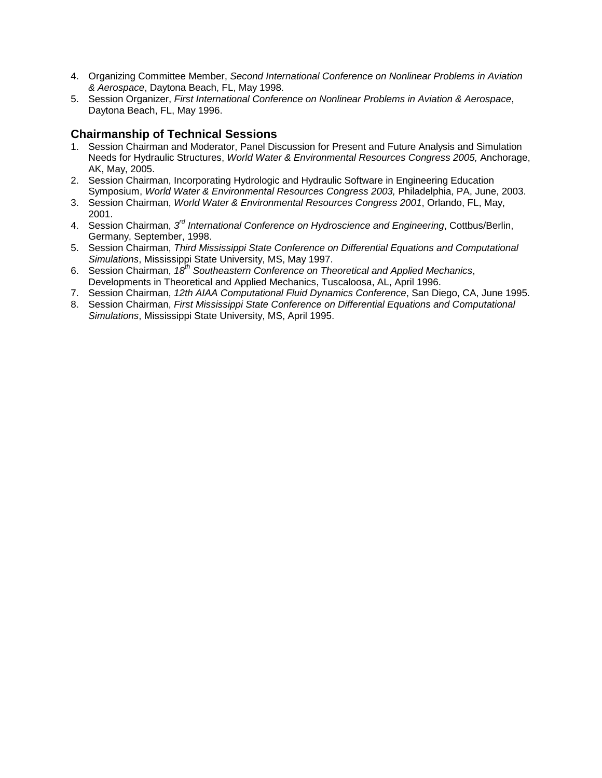- 4. Organizing Committee Member, *Second International Conference on Nonlinear Problems in Aviation & Aerospace*, Daytona Beach, FL, May 1998.
- 5. Session Organizer, *First International Conference on Nonlinear Problems in Aviation & Aerospace*, Daytona Beach, FL, May 1996.

# **Chairmanship of Technical Sessions**

- 1. Session Chairman and Moderator, Panel Discussion for Present and Future Analysis and Simulation Needs for Hydraulic Structures, *World Water & Environmental Resources Congress 2005,* Anchorage, AK, May, 2005.
- 2. Session Chairman, Incorporating Hydrologic and Hydraulic Software in Engineering Education Symposium, *World Water & Environmental Resources Congress 2003,* Philadelphia, PA, June, 2003.
- 3. Session Chairman, *World Water & Environmental Resources Congress 2001*, Orlando, FL, May, 2001.
- 4. Session Chairman, *3rd International Conference on Hydroscience and Engineering*, Cottbus/Berlin, Germany, September, 1998.
- 5. Session Chairman, *Third Mississippi State Conference on Differential Equations and Computational Simulations*, Mississippi State University, MS, May 1997.
- 6. Session Chairman, *18th Southeastern Conference on Theoretical and Applied Mechanics*, Developments in Theoretical and Applied Mechanics, Tuscaloosa, AL, April 1996.
- 7. Session Chairman, *12th AIAA Computational Fluid Dynamics Conference*, San Diego, CA, June 1995.
- 8. Session Chairman, *First Mississippi State Conference on Differential Equations and Computational Simulations*, Mississippi State University, MS, April 1995.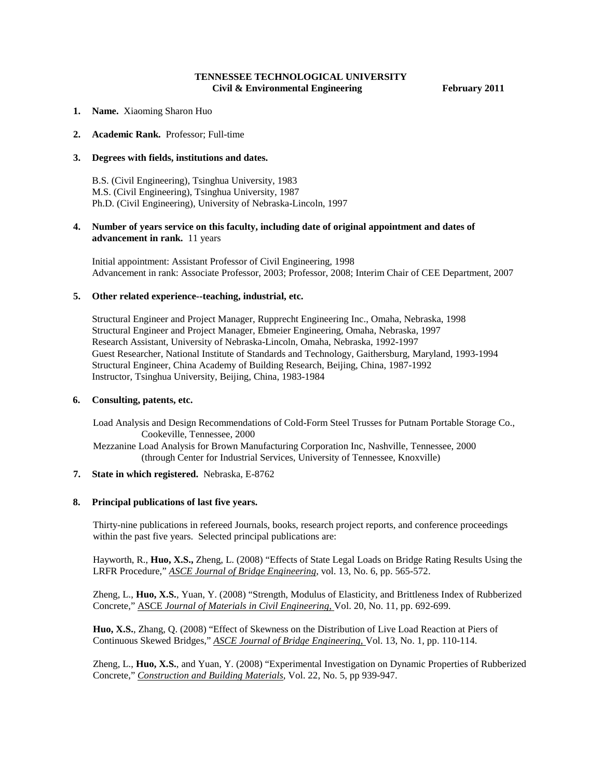## **TENNESSEE TECHNOLOGICAL UNIVERSITY** Civil & Environmental Engineering February 2011

- **1. Name.** Xiaoming Sharon Huo
- **2. Academic Rank.** Professor; Full-time

#### **3. Degrees with fields, institutions and dates.**

B.S. (Civil Engineering), Tsinghua University, 1983 M.S. (Civil Engineering), Tsinghua University, 1987 Ph.D. (Civil Engineering), University of Nebraska-Lincoln, 1997

## **4. Number of years service on this faculty, including date of original appointment and dates of advancement in rank.** 11 years

Initial appointment: Assistant Professor of Civil Engineering, 1998 Advancement in rank: Associate Professor, 2003; Professor, 2008; Interim Chair of CEE Department, 2007

#### **5. Other related experience--teaching, industrial, etc.**

Structural Engineer and Project Manager, Rupprecht Engineering Inc., Omaha, Nebraska, 1998 Structural Engineer and Project Manager, Ebmeier Engineering, Omaha, Nebraska, 1997 Research Assistant, University of Nebraska-Lincoln, Omaha, Nebraska, 1992-1997 Guest Researcher, National Institute of Standards and Technology, Gaithersburg, Maryland, 1993-1994 Structural Engineer, China Academy of Building Research, Beijing, China, 1987-1992 Instructor, Tsinghua University, Beijing, China, 1983-1984

### **6. Consulting, patents, etc.**

Load Analysis and Design Recommendations of Cold-Form Steel Trusses for Putnam Portable Storage Co., Cookeville, Tennessee, 2000

 Mezzanine Load Analysis for Brown Manufacturing Corporation Inc, Nashville, Tennessee, 2000 (through Center for Industrial Services, University of Tennessee, Knoxville)

#### **7. State in which registered.** Nebraska, E-8762

### **8. Principal publications of last five years.**

Thirty-nine publications in refereed Journals, books, research project reports, and conference proceedings within the past five years. Selected principal publications are:

Hayworth, R., **Huo, X.S.,** Zheng, L. (2008) "Effects of State Legal Loads on Bridge Rating Results Using the LRFR Procedure," *ASCE Journal of Bridge Engineering*, vol. 13, No. 6, pp. 565-572.

Zheng, L., **Huo, X.S.**, Yuan, Y. (2008) "Strength, Modulus of Elasticity, and Brittleness Index of Rubberized Concrete," ASCE *Journal of Materials in Civil Engineering,* Vol. 20, No. 11, pp. 692-699.

**Huo, X.S.**, Zhang, Q. (2008) "Effect of Skewness on the Distribution of Live Load Reaction at Piers of Continuous Skewed Bridges," *ASCE Journal of Bridge Engineering,* Vol. 13, No. 1, pp. 110-114.

Zheng, L., **Huo, X.S.**, and Yuan, Y. (2008) "Experimental Investigation on Dynamic Properties of Rubberized Concrete," *Construction and Building Materials*, Vol. 22, No. 5, pp 939-947.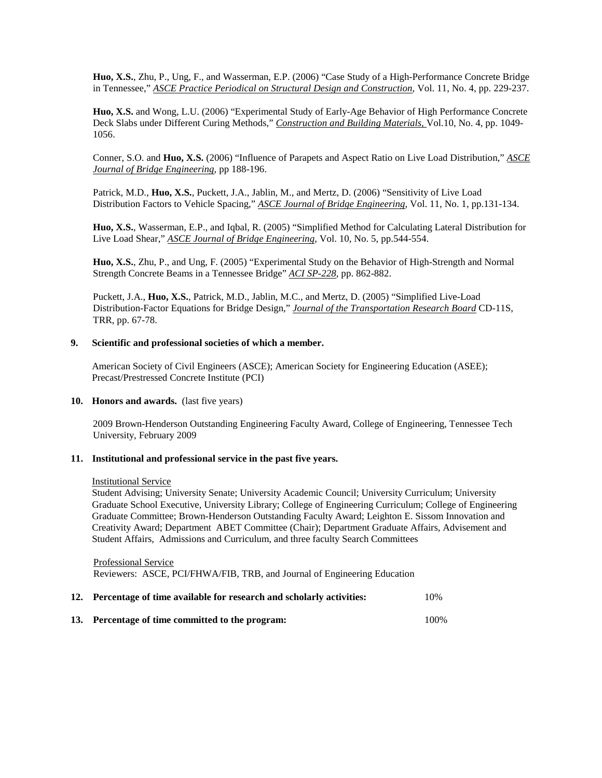**Huo, X.S.**, Zhu, P., Ung, F., and Wasserman, E.P. (2006) "Case Study of a High-Performance Concrete Bridge in Tennessee," *ASCE Practice Periodical on Structural Design and Construction*, Vol. 11, No. 4, pp. 229-237.

**Huo, X.S.** and Wong, L.U. (2006) "Experimental Study of Early-Age Behavior of High Performance Concrete Deck Slabs under Different Curing Methods," *Construction and Building Materials,* Vol.10, No. 4, pp. 1049- 1056.

Conner, S.O. and **Huo, X.S.** (2006) "Influence of Parapets and Aspect Ratio on Live Load Distribution," *ASCE Journal of Bridge Engineering*, pp 188-196.

Patrick, M.D., **Huo, X.S.**, Puckett, J.A., Jablin, M., and Mertz, D. (2006) "Sensitivity of Live Load Distribution Factors to Vehicle Spacing," *ASCE Journal of Bridge Engineering*, Vol. 11, No. 1, pp.131-134.

**Huo, X.S.**, Wasserman, E.P., and Iqbal, R. (2005) "Simplified Method for Calculating Lateral Distribution for Live Load Shear," *ASCE Journal of Bridge Engineering*, Vol. 10, No. 5, pp.544-554.

**Huo, X.S.**, Zhu, P., and Ung, F. (2005) "Experimental Study on the Behavior of High-Strength and Normal Strength Concrete Beams in a Tennessee Bridge" *ACI SP-228*, pp. 862-882.

Puckett, J.A., **Huo, X.S.**, Patrick, M.D., Jablin, M.C., and Mertz, D. (2005) "Simplified Live-Load Distribution-Factor Equations for Bridge Design," *Journal of the Transportation Research Board* CD-11S, TRR, pp. 67-78.

#### **9. Scientific and professional societies of which a member.**

American Society of Civil Engineers (ASCE); American Society for Engineering Education (ASEE); Precast/Prestressed Concrete Institute (PCI)

#### **10. Honors and awards.** (last five years)

2009 Brown-Henderson Outstanding Engineering Faculty Award, College of Engineering, Tennessee Tech University, February 2009

### **11. Institutional and professional service in the past five years.**

#### Institutional Service

Student Advising; University Senate; University Academic Council; University Curriculum; University Graduate School Executive, University Library; College of Engineering Curriculum; College of Engineering Graduate Committee; Brown-Henderson Outstanding Faculty Award; Leighton E. Sissom Innovation and Creativity Award; Department ABET Committee (Chair); Department Graduate Affairs, Advisement and Student Affairs, Admissions and Curriculum, and three faculty Search Committees

 Professional Service Reviewers: ASCE, PCI/FHWA/FIB, TRB, and Journal of Engineering Education

|                | 12. Percentage of time available for research and scholarly activities: | 10%  |  |
|----------------|-------------------------------------------------------------------------|------|--|
|                |                                                                         |      |  |
| $\blacksquare$ |                                                                         | ٬۵۵۰ |  |

**13. Percentage of time committed to the program:** 100%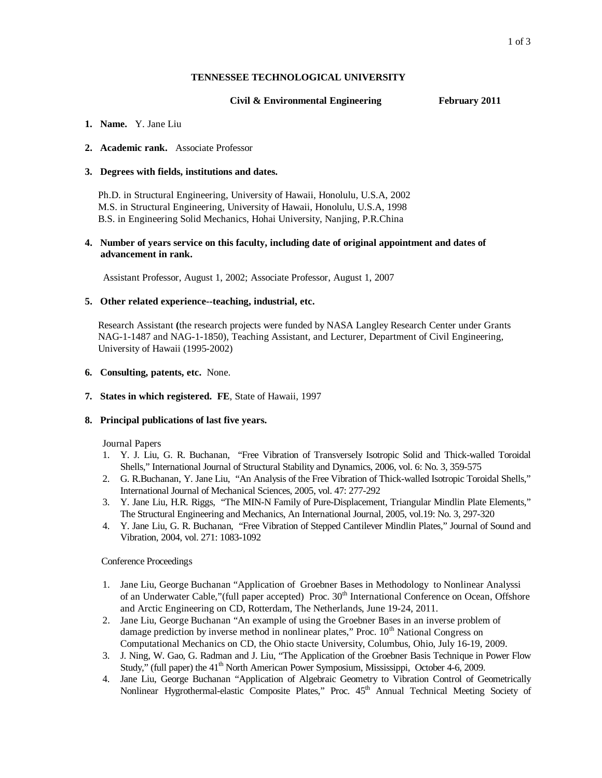## **TENNESSEE TECHNOLOGICAL UNIVERSITY**

## **Civil & Environmental Engineering February 2011**

### **1. Name.** Y. Jane Liu

## **2. Academic rank.** Associate Professor

## **3. Degrees with fields, institutions and dates.**

Ph.D. in Structural Engineering, University of Hawaii, Honolulu, U.S.A, 2002 M.S. in Structural Engineering, University of Hawaii, Honolulu, U.S.A, 1998 B.S. in Engineering Solid Mechanics, Hohai University, Nanjing, P.R.China

## **4. Number of years service on this faculty, including date of original appointment and dates of advancement in rank.**

Assistant Professor, August 1, 2002; Associate Professor, August 1, 2007

## **5. Other related experience--teaching, industrial, etc.**

Research Assistant **(**the research projects were funded by NASA Langley Research Center under Grants NAG-1-1487 and NAG-1-1850), Teaching Assistant, and Lecturer, Department of Civil Engineering, University of Hawaii (1995-2002)

## **6. Consulting, patents, etc.** None.

**7. States in which registered. FE**, State of Hawaii, 1997

## **8. Principal publications of last five years.**

Journal Papers

- 1. Y. J. Liu, G. R. Buchanan, "Free Vibration of Transversely Isotropic Solid and Thick-walled Toroidal Shells," International Journal of Structural Stability and Dynamics, 2006, vol. 6: No. 3, 359-575
- 2. G. R.Buchanan, Y. Jane Liu, "An Analysis of the Free Vibration of Thick-walled Isotropic Toroidal Shells," International Journal of Mechanical Sciences, 2005, vol. 47: 277-292
- 3. Y. Jane Liu, H.R. Riggs, "The MIN-N Family of Pure-Displacement, Triangular Mindlin Plate Elements," The Structural Engineering and Mechanics, An International Journal, 2005, vol.19: No. 3, 297-320
- 4. Y. Jane Liu, G. R. Buchanan, "Free Vibration of Stepped Cantilever Mindlin Plates," Journal of Sound and Vibration, 2004, vol. 271: 1083-1092

Conference Proceedings

- 1. Jane Liu, George Buchanan "Application of Groebner Bases in Methodology to Nonlinear Analyssi of an Underwater Cable,"(full paper accepted) Proc.  $30<sup>th</sup>$  International Conference on Ocean, Offshore and Arctic Engineering on CD, Rotterdam, The Netherlands, June 19-24, 2011.
- 2. Jane Liu, George Buchanan "An example of using the Groebner Bases in an inverse problem of damage prediction by inverse method in nonlinear plates," Proc. 10<sup>th</sup> National Congress on Computational Mechanics on CD, the Ohio stacte University, Columbus, Ohio, July 16-19, 2009.
- 3. J. Ning, W. Gao, G. Radman and J. Liu, "The Application of the Groebner Basis Technique in Power Flow Study," (full paper) the  $41<sup>th</sup>$  North American Power Symposium, Mississippi, October 4-6, 2009.
- 4. Jane Liu, George Buchanan "Application of Algebraic Geometry to Vibration Control of Geometrically Nonlinear Hygrothermal-elastic Composite Plates," Proc. 45<sup>th</sup> Annual Technical Meeting Society of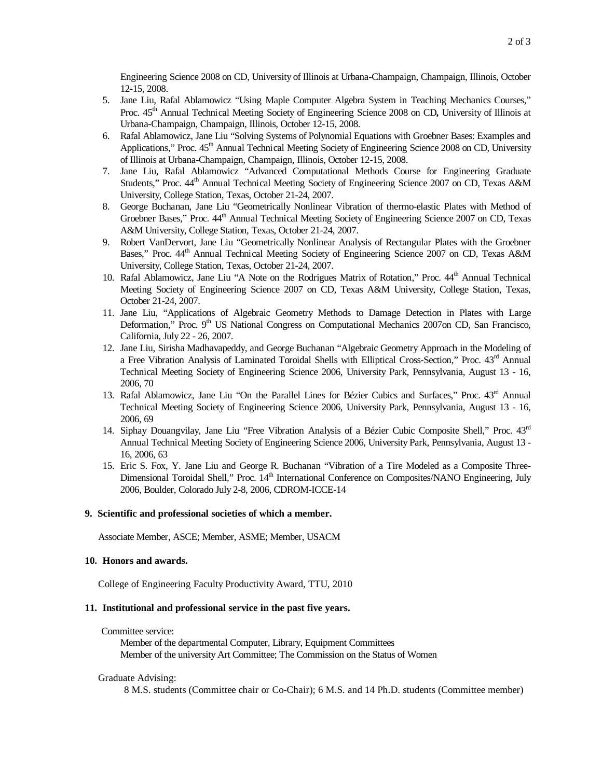Engineering Science 2008 on CD, University of Illinois at Urbana-Champaign, Champaign, Illinois, October 12-15, 2008.

- 5. Jane Liu, Rafal Ablamowicz "Using Maple Computer Algebra System in Teaching Mechanics Courses," Proc. 45<sup>th</sup> Annual Technical Meeting Society of Engineering Science 2008 on CD, University of Illinois at Urbana-Champaign, Champaign, Illinois, October 12-15, 2008.
- 6. Rafal Ablamowicz, Jane Liu "Solving Systems of Polynomial Equations with Groebner Bases: Examples and Applications," Proc.  $45<sup>th</sup>$  Annual Technical Meeting Society of Engineering Science 2008 on CD, University of Illinois at Urbana-Champaign, Champaign, Illinois, October 12-15, 2008.
- 7. Jane Liu, Rafal Ablamowicz "Advanced Computational Methods Course for Engineering Graduate Students," Proc.  $44<sup>th</sup>$  Annual Technical Meeting Society of Engineering Science 2007 on CD, Texas A&M University, College Station, Texas, October 21-24, 2007.
- 8. George Buchanan, Jane Liu "Geometrically Nonlinear Vibration of thermo-elastic Plates with Method of Groebner Bases," Proc. 44<sup>th</sup> Annual Technical Meeting Society of Engineering Science 2007 on CD, Texas A&M University, College Station, Texas, October 21-24, 2007.
- 9. Robert VanDervort, Jane Liu "Geometrically Nonlinear Analysis of Rectangular Plates with the Groebner Bases," Proc.  $44<sup>th</sup>$  Annual Technical Meeting Society of Engineering Science 2007 on CD, Texas A&M University, College Station, Texas, October 21-24, 2007.
- 10. Rafal Ablamowicz, Jane Liu "A Note on the Rodrigues Matrix of Rotation," Proc. 44<sup>th</sup> Annual Technical Meeting Society of Engineering Science 2007 on CD, Texas A&M University, College Station, Texas, October 21-24, 2007.
- 11. Jane Liu, "Applications of Algebraic Geometry Methods to Damage Detection in Plates with Large Deformation," Proc. 9<sup>th</sup> US National Congress on Computational Mechanics 2007on CD, San Francisco, California, July 22 - 26, 2007.
- 12. Jane Liu, Sirisha Madhavapeddy, and George Buchanan "Algebraic Geometry Approach in the Modeling of a Free Vibration Analysis of Laminated Toroidal Shells with Elliptical Cross-Section," Proc. 43<sup>rd</sup> Annual Technical Meeting Society of Engineering Science 2006, University Park, Pennsylvania, August 13 - 16, 2006, 70
- 13. Rafal Ablamowicz, Jane Liu "On the Parallel Lines for Bézier Cubics and Surfaces," Proc. 43rd Annual Technical Meeting Society of Engineering Science 2006, University Park, Pennsylvania, August 13 - 16, 2006, 69
- 14. Siphay Douangvilay, Jane Liu "Free Vibration Analysis of a Bézier Cubic Composite Shell," Proc. 43rd Annual Technical Meeting Society of Engineering Science 2006, University Park, Pennsylvania, August 13 - 16, 2006, 63
- 15. Eric S. Fox, Y. Jane Liu and George R. Buchanan "Vibration of a Tire Modeled as a Composite Three-Dimensional Toroidal Shell," Proc. 14<sup>th</sup> International Conference on Composites/NANO Engineering, July 2006, Boulder, Colorado July 2-8, 2006, CDROM-ICCE-14

### **9. Scientific and professional societies of which a member.**

Associate Member, ASCE; Member, ASME; Member, USACM

#### **10. Honors and awards.**

College of Engineering Faculty Productivity Award, TTU, 2010

### **11. Institutional and professional service in the past five years.**

Committee service:

Member of the departmental Computer, Library, Equipment Committees Member of the university Art Committee; The Commission on the Status of Women

#### Graduate Advising:

8 M.S. students (Committee chair or Co-Chair); 6 M.S. and 14 Ph.D. students (Committee member)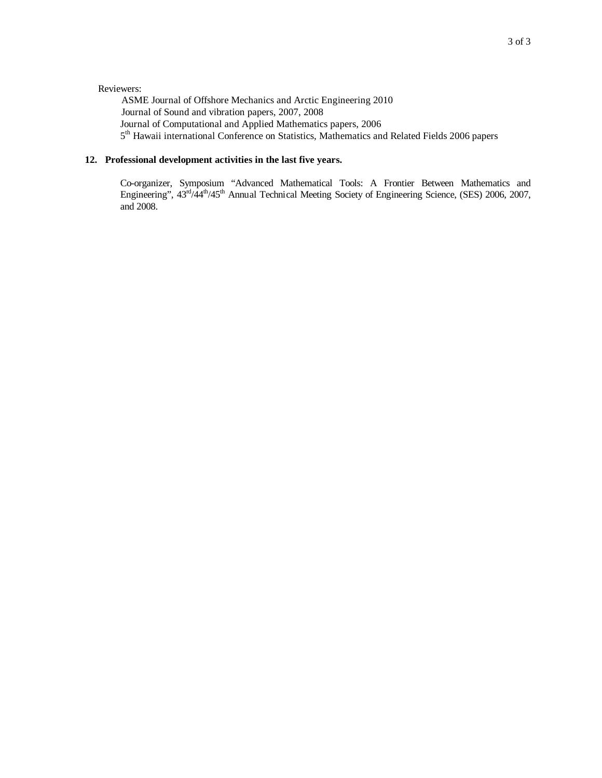## Reviewers:

 ASME Journal of Offshore Mechanics and Arctic Engineering 2010 Journal of Sound and vibration papers, 2007, 2008 Journal of Computational and Applied Mathematics papers, 2006 5<sup>th</sup> Hawaii international Conference on Statistics, Mathematics and Related Fields 2006 papers

## **12. Professional development activities in the last five years.**

Co-organizer, Symposium "Advanced Mathematical Tools: A Frontier Between Mathematics and Engineering",  $43^{\text{rd}}/44^{\text{th}}/45^{\text{th}}$  Annual Technical Meeting Society of Engineering Science, (SES) 2006, 2007, and 2008.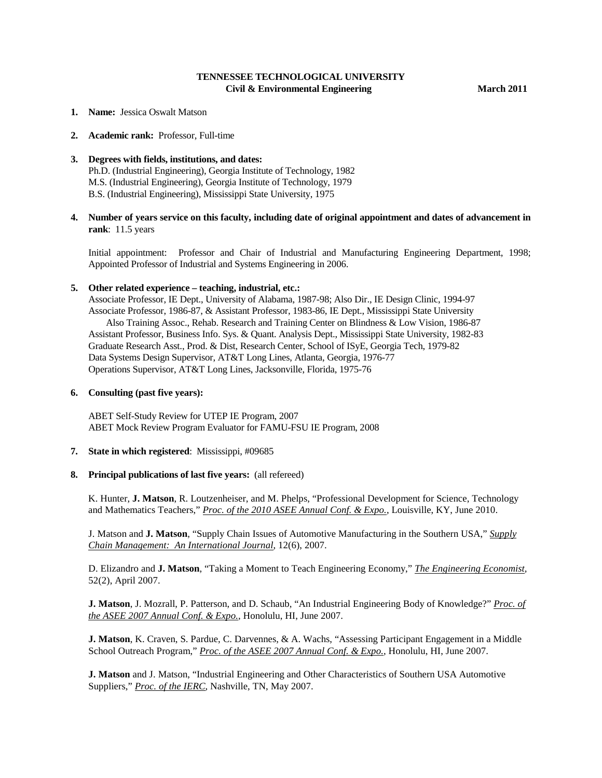## **TENNESSEE TECHNOLOGICAL UNIVERSITY Civil & Environmental Engineering March 2011**

- **1. Name:** Jessica Oswalt Matson
- **2. Academic rank:** Professor, Full-time
- **3. Degrees with fields, institutions, and dates:** Ph.D. (Industrial Engineering), Georgia Institute of Technology, 1982 M.S. (Industrial Engineering), Georgia Institute of Technology, 1979 B.S. (Industrial Engineering), Mississippi State University, 1975
- **4. Number of years service on this faculty, including date of original appointment and dates of advancement in rank**: 11.5 years

Initial appointment: Professor and Chair of Industrial and Manufacturing Engineering Department, 1998; Appointed Professor of Industrial and Systems Engineering in 2006.

#### **5. Other related experience – teaching, industrial, etc.:**

Associate Professor, IE Dept., University of Alabama, 1987-98; Also Dir., IE Design Clinic, 1994-97 Associate Professor, 1986-87, & Assistant Professor, 1983-86, IE Dept., Mississippi State University Also Training Assoc., Rehab. Research and Training Center on Blindness & Low Vision, 1986-87 Assistant Professor, Business Info. Sys. & Quant. Analysis Dept., Mississippi State University, 1982-83 Graduate Research Asst., Prod. & Dist, Research Center, School of ISyE, Georgia Tech, 1979-82 Data Systems Design Supervisor, AT&T Long Lines, Atlanta, Georgia, 1976-77 Operations Supervisor, AT&T Long Lines, Jacksonville, Florida, 1975-76

#### **6. Consulting (past five years):**

ABET Self-Study Review for UTEP IE Program, 2007 ABET Mock Review Program Evaluator for FAMU-FSU IE Program, 2008

**7. State in which registered**: Mississippi, #09685

### **8. Principal publications of last five years:** (all refereed)

K. Hunter, **J. Matson**, R. Loutzenheiser, and M. Phelps, "Professional Development for Science, Technology and Mathematics Teachers," *Proc. of the 2010 ASEE Annual Conf. & Expo.*, Louisville, KY, June 2010.

J. Matson and **J. Matson**, "Supply Chain Issues of Automotive Manufacturing in the Southern USA," *Supply Chain Management: An International Journal*, 12(6), 2007.

D. Elizandro and **J. Matson**, "Taking a Moment to Teach Engineering Economy," *The Engineering Economist,*  52(2), April 2007.

**J. Matson**, J. Mozrall, P. Patterson, and D. Schaub, "An Industrial Engineering Body of Knowledge?" *Proc. of the ASEE 2007 Annual Conf. & Expo.*, Honolulu, HI, June 2007.

**J. Matson**, K. Craven, S. Pardue, C. Darvennes, & A. Wachs, "Assessing Participant Engagement in a Middle School Outreach Program," *Proc. of the ASEE 2007 Annual Conf. & Expo.*, Honolulu, HI, June 2007.

**J. Matson** and J. Matson, "Industrial Engineering and Other Characteristics of Southern USA Automotive Suppliers," *Proc. of the IERC*, Nashville, TN, May 2007.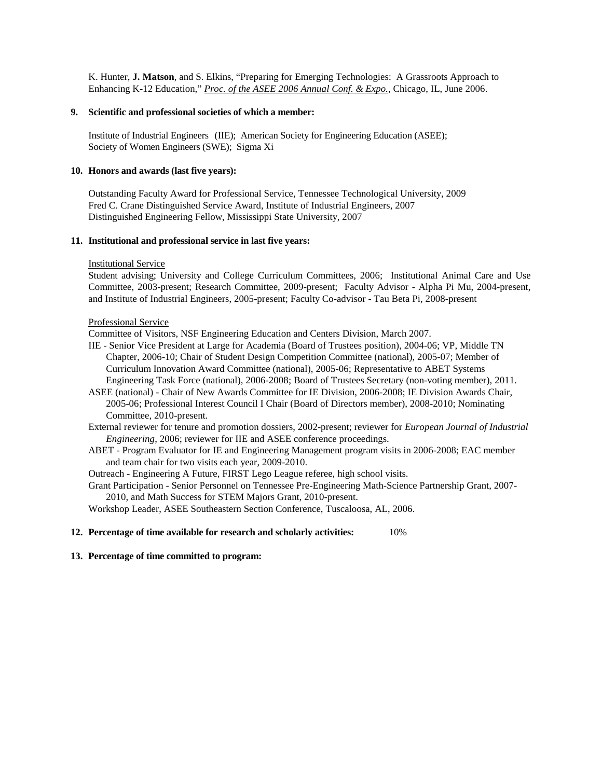K. Hunter, **J. Matson**, and S. Elkins, "Preparing for Emerging Technologies: A Grassroots Approach to Enhancing K-12 Education," *Proc. of the ASEE 2006 Annual Conf. & Expo.*, Chicago, IL, June 2006.

### **9. Scientific and professional societies of which a member:**

Institute of Industrial Engineers (IIE); American Society for Engineering Education (ASEE); Society of Women Engineers (SWE); Sigma Xi

### **10. Honors and awards (last five years):**

Outstanding Faculty Award for Professional Service, Tennessee Technological University, 2009 Fred C. Crane Distinguished Service Award, Institute of Industrial Engineers, 2007 Distinguished Engineering Fellow, Mississippi State University, 2007

### **11. Institutional and professional service in last five years:**

### Institutional Service

Student advising; University and College Curriculum Committees, 2006; Institutional Animal Care and Use Committee, 2003-present; Research Committee, 2009-present; Faculty Advisor - Alpha Pi Mu, 2004-present, and Institute of Industrial Engineers, 2005-present; Faculty Co-advisor - Tau Beta Pi, 2008-present

#### Professional Service

Committee of Visitors, NSF Engineering Education and Centers Division, March 2007.

- IIE Senior Vice President at Large for Academia (Board of Trustees position), 2004-06; VP, Middle TN Chapter, 2006-10; Chair of Student Design Competition Committee (national), 2005-07; Member of Curriculum Innovation Award Committee (national), 2005-06; Representative to ABET Systems Engineering Task Force (national), 2006-2008; Board of Trustees Secretary (non-voting member), 2011.
- ASEE (national) Chair of New Awards Committee for IE Division, 2006-2008; IE Division Awards Chair, 2005-06; Professional Interest Council I Chair (Board of Directors member), 2008-2010; Nominating Committee, 2010-present.
- External reviewer for tenure and promotion dossiers, 2002-present; reviewer for *European Journal of Industrial Engineering*, 2006; reviewer for IIE and ASEE conference proceedings.
- ABET Program Evaluator for IE and Engineering Management program visits in 2006-2008; EAC member and team chair for two visits each year, 2009-2010.

Outreach - Engineering A Future, FIRST Lego League referee, high school visits.

Grant Participation - Senior Personnel on Tennessee Pre-Engineering Math-Science Partnership Grant, 2007- 2010, and Math Success for STEM Majors Grant, 2010-present.

Workshop Leader, ASEE Southeastern Section Conference, Tuscaloosa, AL, 2006.

### **12. Percentage of time available for research and scholarly activities:** 10%

## **13. Percentage of time committed to program:**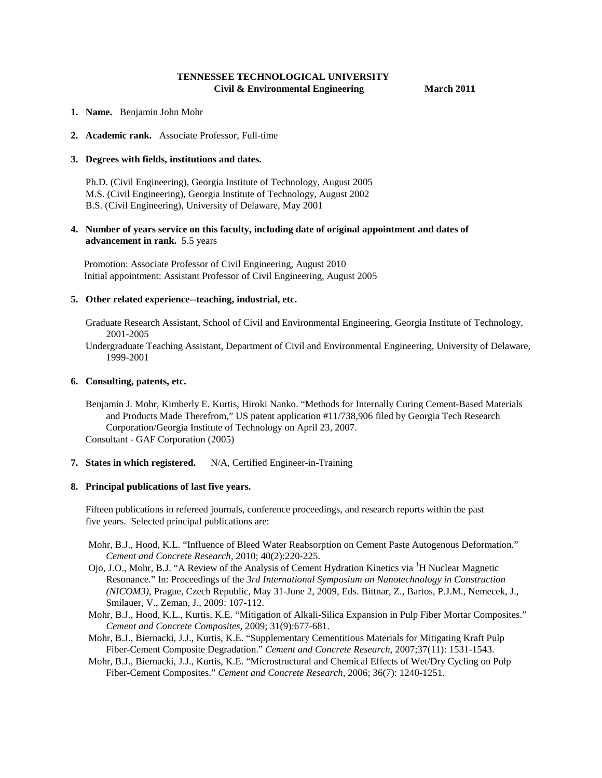## **TENNESSEE TECHNOLOGICAL UNIVERSITY Civil & Environmental Engineering March 2011**

- **1. Name.** Benjamin John Mohr
- **2. Academic rank.** Associate Professor, Full-time

#### **3. Degrees with fields, institutions and dates.**

 Ph.D. (Civil Engineering), Georgia Institute of Technology, August 2005 M.S. (Civil Engineering), Georgia Institute of Technology, August 2002 B.S. (Civil Engineering), University of Delaware, May 2001

## **4. Number of years service on this faculty, including date of original appointment and dates of advancement in rank.** 5.5 years

Promotion: Associate Professor of Civil Engineering, August 2010 Initial appointment: Assistant Professor of Civil Engineering, August 2005

#### **5. Other related experience--teaching, industrial, etc.**

 Graduate Research Assistant, School of Civil and Environmental Engineering, Georgia Institute of Technology, 2001-2005

 Undergraduate Teaching Assistant, Department of Civil and Environmental Engineering, University of Delaware, 1999-2001

#### **6. Consulting, patents, etc.**

 Benjamin J. Mohr, Kimberly E. Kurtis, Hiroki Nanko. "Methods for Internally Curing Cement-Based Materials and Products Made Therefrom," US patent application #11/738,906 filed by Georgia Tech Research Corporation/Georgia Institute of Technology on April 23, 2007. Consultant - GAF Corporation (2005)

**7. States in which registered.** N/A, Certified Engineer-in-Training

#### **8. Principal publications of last five years.**

 Fifteen publications in refereed journals, conference proceedings, and research reports within the past five years. Selected principal publications are:

- Mohr, B.J., Hood, K.L. "Influence of Bleed Water Reabsorption on Cement Paste Autogenous Deformation." *Cement and Concrete Research,* 2010; 40(2):220-225.
- Ojo, J.O., Mohr, B.J. "A Review of the Analysis of Cement Hydration Kinetics via <sup>1</sup>H Nuclear Magnetic Resonance." In: Proceedings of the *3rd International Symposium on Nanotechnology in Construction (NICOM3)*, Prague, Czech Republic, May 31-June 2, 2009, Eds. Bittnar, Z., Bartos, P.J.M., Nemecek, J., Smilauer, V., Zeman, J., 2009: 107-112.
- Mohr, B.J., Hood, K.L., Kurtis, K.E. "Mitigation of Alkali-Silica Expansion in Pulp Fiber Mortar Composites." *Cement and Concrete Composites*, 2009; 31(9):677-681.
- Mohr, B.J., Biernacki, J.J., Kurtis, K.E. "Supplementary Cementitious Materials for Mitigating Kraft Pulp Fiber-Cement Composite Degradation." *Cement and Concrete Research*, 2007;37(11): 1531-1543.
- Mohr, B.J., Biernacki, J.J., Kurtis, K.E. "Microstructural and Chemical Effects of Wet/Dry Cycling on Pulp Fiber-Cement Composites." *Cement and Concrete Research*, 2006; 36(7): 1240-1251.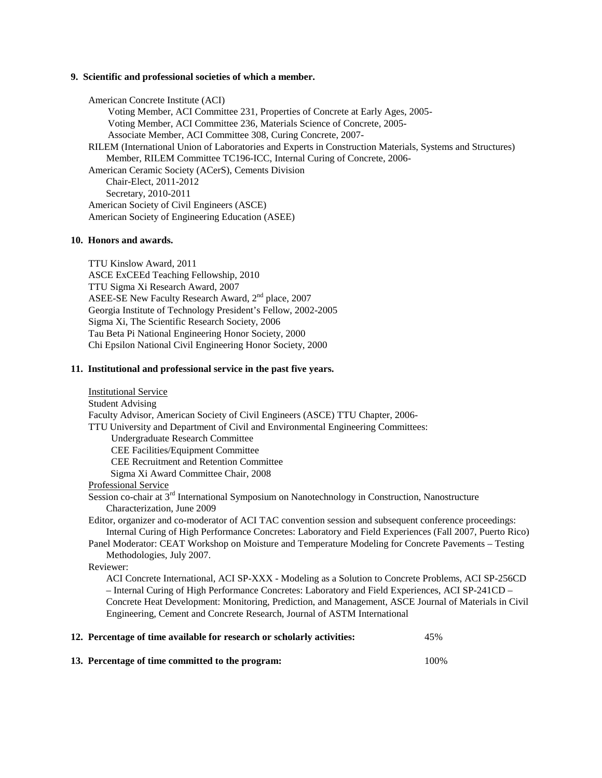#### **9. Scientific and professional societies of which a member.**

American Concrete Institute (ACI) Voting Member, ACI Committee 231, Properties of Concrete at Early Ages, 2005- Voting Member, ACI Committee 236, Materials Science of Concrete, 2005- Associate Member, ACI Committee 308, Curing Concrete, 2007- RILEM (International Union of Laboratories and Experts in Construction Materials, Systems and Structures) Member, RILEM Committee TC196-ICC, Internal Curing of Concrete, 2006- American Ceramic Society (ACerS), Cements Division Chair-Elect, 2011-2012 Secretary, 2010-2011 American Society of Civil Engineers (ASCE) American Society of Engineering Education (ASEE)

### **10. Honors and awards.**

TTU Kinslow Award, 2011 ASCE ExCEEd Teaching Fellowship, 2010 TTU Sigma Xi Research Award, 2007 ASEE-SE New Faculty Research Award, 2<sup>nd</sup> place, 2007 Georgia Institute of Technology President's Fellow, 2002-2005 Sigma Xi, The Scientific Research Society, 2006 Tau Beta Pi National Engineering Honor Society, 2000 Chi Epsilon National Civil Engineering Honor Society, 2000

## **11. Institutional and professional service in the past five years.**

| <b>Institutional Service</b>                                                                                 |
|--------------------------------------------------------------------------------------------------------------|
| <b>Student Advising</b>                                                                                      |
| Faculty Advisor, American Society of Civil Engineers (ASCE) TTU Chapter, 2006-                               |
| TTU University and Department of Civil and Environmental Engineering Committees:                             |
| <b>Undergraduate Research Committee</b>                                                                      |
| CEE Facilities/Equipment Committee                                                                           |
| <b>CEE Recruitment and Retention Committee</b>                                                               |
| Sigma Xi Award Committee Chair, 2008                                                                         |
| Professional Service                                                                                         |
| Session co-chair at 3 <sup>rd</sup> International Symposium on Nanotechnology in Construction, Nanostructure |
| Characterization, June 2009                                                                                  |
| Editor, organizer and co-moderator of ACI TAC convention session and subsequent conference proceedings:      |
| Internal Curing of High Performance Concretes: Laboratory and Field Experiences (Fall 2007, Puerto Rico)     |
| Panel Moderator: CEAT Workshop on Moisture and Temperature Modeling for Concrete Pavements – Testing         |
| Methodologies, July 2007.                                                                                    |
| Reviewer:                                                                                                    |
| ACI Concrete International, ACI SP-XXX - Modeling as a Solution to Concrete Problems, ACI SP-256CD           |
| - Internal Curing of High Performance Concretes: Laboratory and Field Experiences, ACI SP-241CD -            |
| Concrete Heat Development: Monitoring, Prediction, and Management, ASCE Journal of Materials in Civil        |
| Engineering, Cement and Concrete Research, Journal of ASTM International                                     |
| 12. Percentage of time available for research or scholarly activities:<br>45%                                |

| 13. Percentage of time committed to the program: | 100% |
|--------------------------------------------------|------|
|                                                  |      |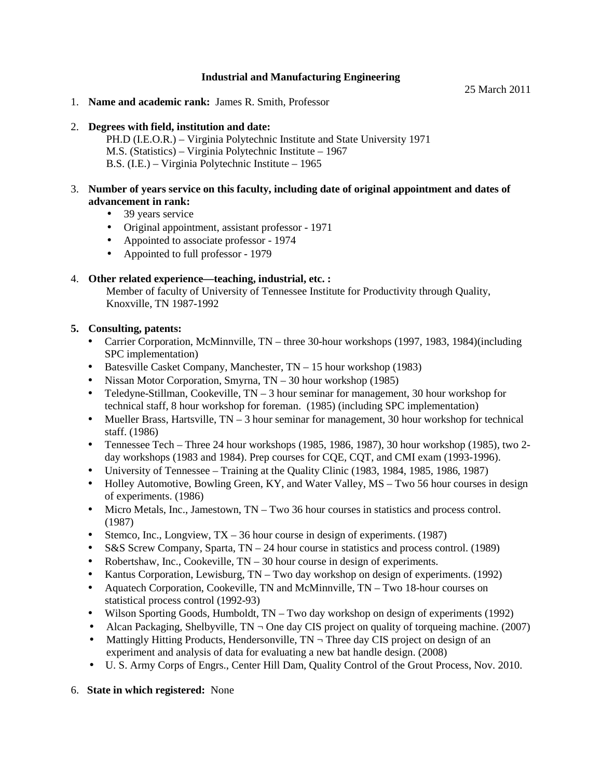## **Industrial and Manufacturing Engineering**

25 March 2011

1. **Name and academic rank:** James R. Smith, Professor

## 2. **Degrees with field, institution and date:**

PH.D (I.E.O.R.) – Virginia Polytechnic Institute and State University 1971 M.S. (Statistics) – Virginia Polytechnic Institute – 1967 B.S. (I.E.) – Virginia Polytechnic Institute – 1965

## 3. **Number of years service on this faculty, including date of original appointment and dates of advancement in rank:**

- $\mathbf{r}$ 39 years service
- Original appointment, assistant professor 1971
- Appointed to associate professor 1974
- i. Appointed to full professor - 1979

## 4. **Other related experience—teaching, industrial, etc. :**

Member of faculty of University of Tennessee Institute for Productivity through Quality, Knoxville, TN 1987-1992

## **5. Consulting, patents:**

- Carrier Corporation, McMinnville, TN three 30-hour workshops (1997, 1983, 1984)(including SPC implementation)
- Batesville Casket Company, Manchester, TN 15 hour workshop (1983)
- Nissan Motor Corporation, Smyrna, TN 30 hour workshop (1985)  $\mathbf{r}$
- Teledyne-Stillman, Cookeville, TN 3 hour seminar for management, 30 hour workshop for technical staff, 8 hour workshop for foreman. (1985) (including SPC implementation)
- Mueller Brass, Hartsville,  $TN 3$  hour seminar for management, 30 hour workshop for technical  $\mathcal{L}^{\mathcal{L}}$ staff. (1986)
- Tennessee Tech Three 24 hour workshops (1985, 1986, 1987), 30 hour workshop (1985), two 2 day workshops (1983 and 1984). Prep courses for CQE, CQT, and CMI exam (1993-1996).
- University of Tennessee Training at the Quality Clinic (1983, 1984, 1985, 1986, 1987)
- Holley Automotive, Bowling Green, KY, and Water Valley, MS Two 56 hour courses in design of experiments. (1986)
- Micro Metals, Inc., Jamestown, TN Two 36 hour courses in statistics and process control.  $\mathbf{r}$ (1987)
- Stemco, Inc., Longview, TX 36 hour course in design of experiments. (1987)
- S&S Screw Company, Sparta, TN 24 hour course in statistics and process control. (1989)
- Robertshaw, Inc., Cookeville, TN 30 hour course in design of experiments.  $\mathbf{r}$
- Kantus Corporation, Lewisburg, TN Two day workshop on design of experiments. (1992)
- Aquatech Corporation, Cookeville, TN and McMinnville, TN Two 18-hour courses on  $\mathcal{L}^{\pm}$ statistical process control (1992-93)
- Wilson Sporting Goods, Humboldt, TN Two day workshop on design of experiments (1992)  $\mathcal{L}_{\mathrm{max}}$
- Alcan Packaging, Shelbyville,  $TN \neg$  One day CIS project on quality of torqueing machine. (2007)
- Mattingly Hitting Products, Hendersonville,  $TN \neg$  Three day CIS project on design of an ä, experiment and analysis of data for evaluating a new bat handle design. (2008)
- U. S. Army Corps of Engrs., Center Hill Dam, Quality Control of the Grout Process, Nov. 2010.  $\blacksquare$

## 6. **State in which registered:** None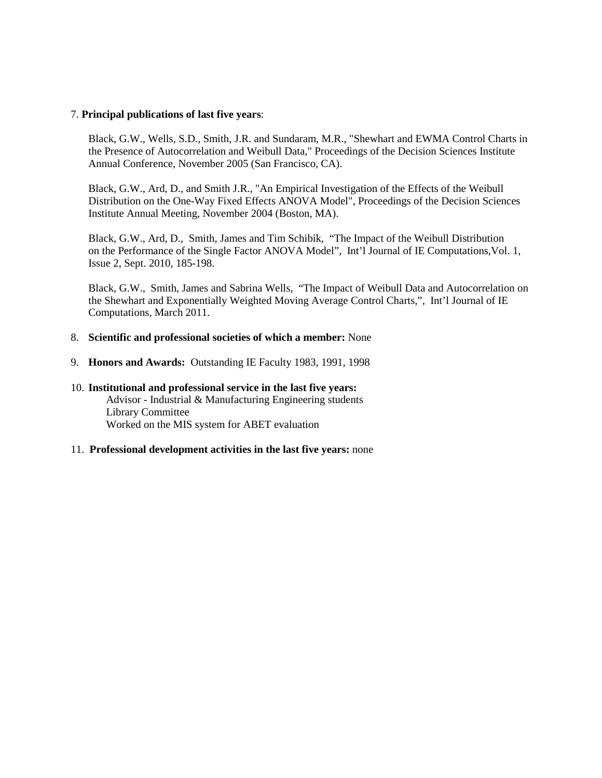## 7. **Principal publications of last five years**:

Black, G.W., Wells, S.D., Smith, J.R. and Sundaram, M.R., "Shewhart and EWMA Control Charts in the Presence of Autocorrelation and Weibull Data," Proceedings of the Decision Sciences Institute Annual Conference, November 2005 (San Francisco, CA).

Black, G.W., Ard, D., and Smith J.R., "An Empirical Investigation of the Effects of the Weibull Distribution on the One-Way Fixed Effects ANOVA Model", Proceedings of the Decision Sciences Institute Annual Meeting, November 2004 (Boston, MA).

Black, G.W., Ard, D., Smith, James and Tim Schibik, "The Impact of the Weibull Distribution on the Performance of the Single Factor ANOVA Model", Int'l Journal of IE Computations,Vol. 1, Issue 2, Sept. 2010, 185-198.

Black, G.W., Smith, James and Sabrina Wells, "The Impact of Weibull Data and Autocorrelation on the Shewhart and Exponentially Weighted Moving Average Control Charts,", Int'l Journal of IE Computations, March 2011.

## 8. **Scientific and professional societies of which a member:** None

9. **Honors and Awards:** Outstanding IE Faculty 1983, 1991, 1998

## 10. **Institutional and professional service in the last five years:** Advisor - Industrial & Manufacturing Engineering students Library Committee Worked on the MIS system for ABET evaluation

## 11. **Professional development activities in the last five years:** none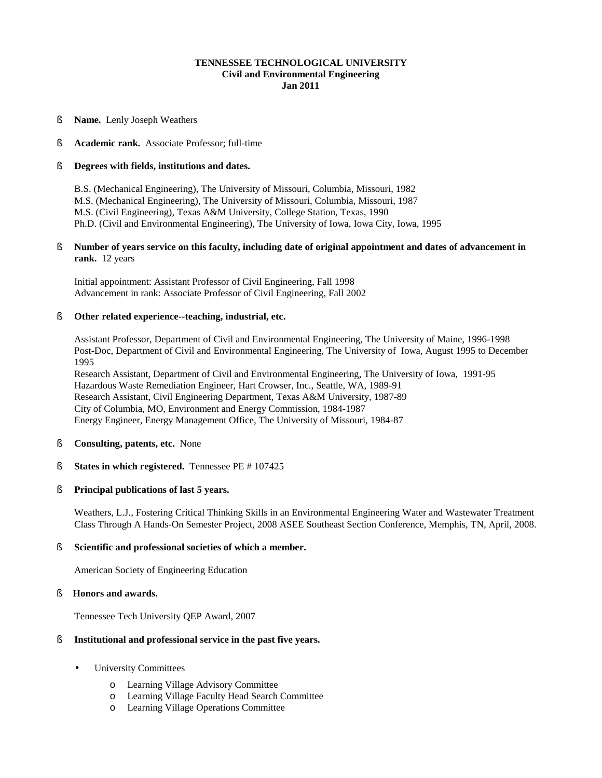### **TENNESSEE TECHNOLOGICAL UNIVERSITY Civil and Environmental Engineering Jan 2011**

§ **Name.** Lenly Joseph Weathers

## § **Academic rank.** Associate Professor; full-time

## § **Degrees with fields, institutions and dates.**

B.S. (Mechanical Engineering), The University of Missouri, Columbia, Missouri, 1982 M.S. (Mechanical Engineering), The University of Missouri, Columbia, Missouri, 1987 M.S. (Civil Engineering), Texas A&M University, College Station, Texas, 1990 Ph.D. (Civil and Environmental Engineering), The University of Iowa, Iowa City, Iowa, 1995

### § **Number of years service on this faculty, including date of original appointment and dates of advancement in rank.** 12 years

Initial appointment: Assistant Professor of Civil Engineering, Fall 1998 Advancement in rank: Associate Professor of Civil Engineering, Fall 2002

## § **Other related experience--teaching, industrial, etc.**

Assistant Professor, Department of Civil and Environmental Engineering, The University of Maine, 1996-1998 Post-Doc, Department of Civil and Environmental Engineering, The University of Iowa, August 1995 to December 1995

Research Assistant, Department of Civil and Environmental Engineering, The University of Iowa, 1991-95 Hazardous Waste Remediation Engineer, Hart Crowser, Inc., Seattle, WA, 1989-91 Research Assistant, Civil Engineering Department, Texas A&M University, 1987-89 City of Columbia, MO, Environment and Energy Commission, 1984-1987 Energy Engineer, Energy Management Office, The University of Missouri, 1984-87

- § **Consulting, patents, etc.** None
- § **States in which registered.** Tennessee PE # 107425

## § **Principal publications of last 5 years.**

Weathers, L.J., Fostering Critical Thinking Skills in an Environmental Engineering Water and Wastewater Treatment Class Through A Hands-On Semester Project, 2008 ASEE Southeast Section Conference, Memphis, TN, April, 2008.

## § **Scientific and professional societies of which a member.**

American Society of Engineering Education

### § **Honors and awards.**

Tennessee Tech University QEP Award, 2007

## § **Institutional and professional service in the past five years.**

- University Committees ä,
	- o Learning Village Advisory Committee
	- o Learning Village Faculty Head Search Committee
	- o Learning Village Operations Committee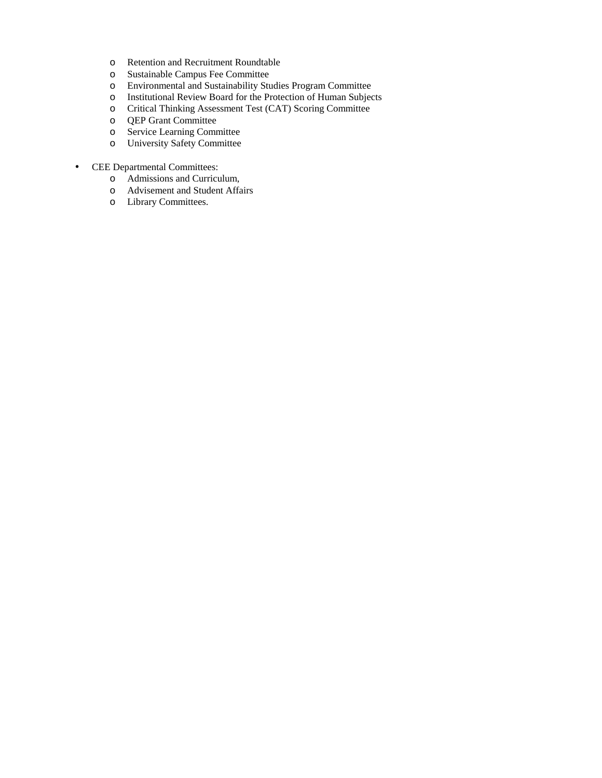- o Retention and Recruitment Roundtable
- o Sustainable Campus Fee Committee
- o Environmental and Sustainability Studies Program Committee
- o Institutional Review Board for the Protection of Human Subjects
- Critical Thinking Assessment Test (CAT) Scoring Committee
- o QEP Grant Committee
- o Service Learning Committee
- University Safety Committee
- CEE Departmental Committees: ä,
	- o Admissions and Curriculum,
	- o Advisement and Student Affairs
	- o Library Committees.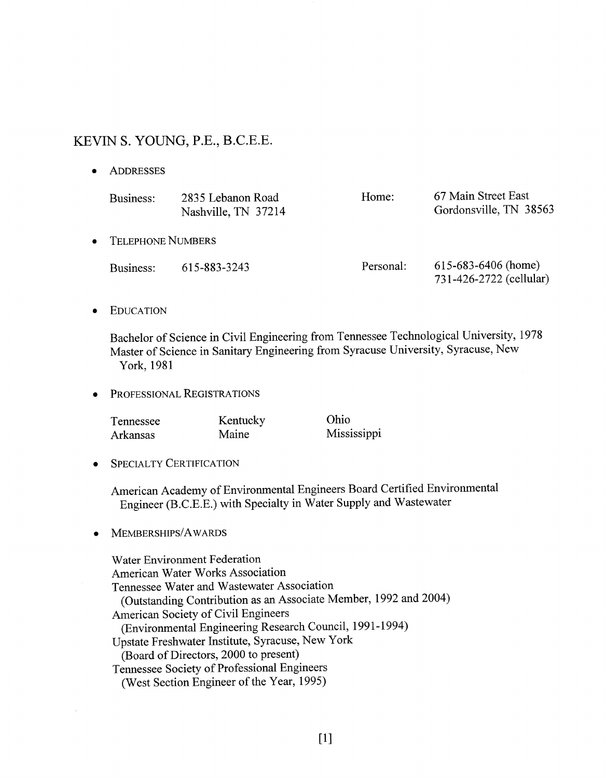# KEVIN S. YOUNG, P.E., B.C.E.E.

ADDRESSES  $\bullet$ 

| Business:                | 2835 Lebanon Road<br>Nashville, TN 37214 | Home:     | 67 Main Street East<br>Gordonsville, TN 38563    |
|--------------------------|------------------------------------------|-----------|--------------------------------------------------|
| <b>TELEPHONE NUMBERS</b> |                                          |           |                                                  |
| Business:                | 615-883-3243                             | Personal: | $615-683-6406$ (home)<br>731-426-2722 (cellular) |

**EDUCATION**  $\bullet$ 

> Bachelor of Science in Civil Engineering from Tennessee Technological University, 1978 Master of Science in Sanitary Engineering from Syracuse University, Syracuse, New York, 1981

PROFESSIONAL REGISTRATIONS  $\bullet$ 

| Tennessee | Kentucky     | Ohio        |
|-----------|--------------|-------------|
| Arkansas  | <b>Maine</b> | Mississippi |

**SPECIALTY CERTIFICATION**  $\bullet$ 

> American Academy of Environmental Engineers Board Certified Environmental Engineer (B.C.E.E.) with Specialty in Water Supply and Wastewater

MEMBERSHIPS/AWARDS  $\bullet$ 

> Water Environment Federation American Water Works Association Tennessee Water and Wastewater Association (Outstanding Contribution as an Associate Member, 1992 and 2004) American Society of Civil Engineers (Environmental Engineering Research Council, 1991-1994) Upstate Freshwater Institute, Syracuse, New York (Board of Directors, 2000 to present) Tennessee Society of Professional Engineers (West Section Engineer of the Year, 1995)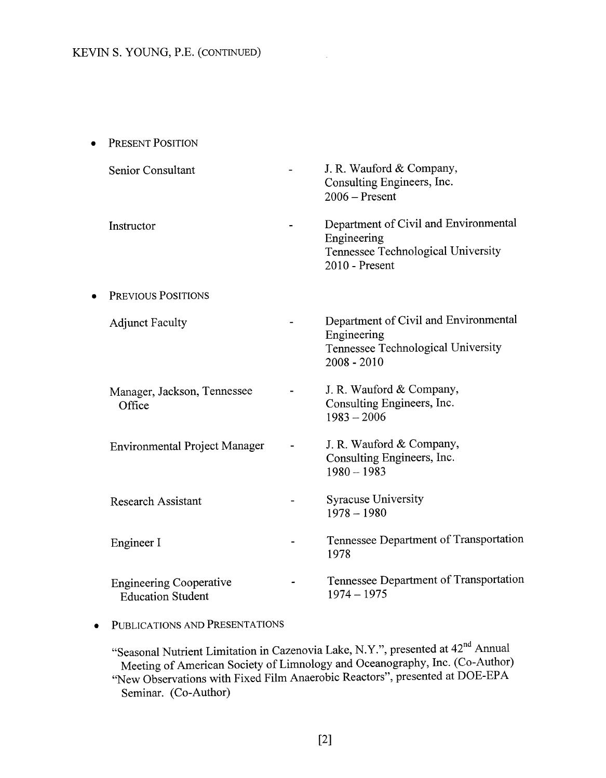| PRESENT POSITION                                           |                                                                                                              |
|------------------------------------------------------------|--------------------------------------------------------------------------------------------------------------|
| Senior Consultant                                          | J. R. Wauford & Company,<br>Consulting Engineers, Inc.<br>$2006 -$ Present                                   |
| Instructor                                                 | Department of Civil and Environmental<br>Engineering<br>Tennessee Technological University<br>2010 - Present |
| PREVIOUS POSITIONS                                         |                                                                                                              |
| <b>Adjunct Faculty</b>                                     | Department of Civil and Environmental<br>Engineering<br>Tennessee Technological University<br>$2008 - 2010$  |
| Manager, Jackson, Tennessee<br>Office                      | J. R. Wauford & Company,<br>Consulting Engineers, Inc.<br>$1983 - 2006$                                      |
| <b>Environmental Project Manager</b>                       | J. R. Wauford & Company,<br>Consulting Engineers, Inc.<br>$1980 - 1983$                                      |
| <b>Research Assistant</b>                                  | <b>Syracuse University</b><br>$1978 - 1980$                                                                  |
| Engineer I                                                 | Tennessee Department of Transportation<br>1978                                                               |
| <b>Engineering Cooperative</b><br><b>Education Student</b> | Tennessee Department of Transportation<br>$1974 - 1975$                                                      |
|                                                            |                                                                                                              |

PUBLICATIONS AND PRESENTATIONS  $\bullet$ 

"Seasonal Nutrient Limitation in Cazenovia Lake, N.Y.", presented at 42<sup>nd</sup> Annual<br>Meeting of American Society of Limnology and Oceanography, Inc. (Co-Author)<br>"New Observations with Fixed Film Anaerobic Reactors", presente Seminar. (Co-Author)